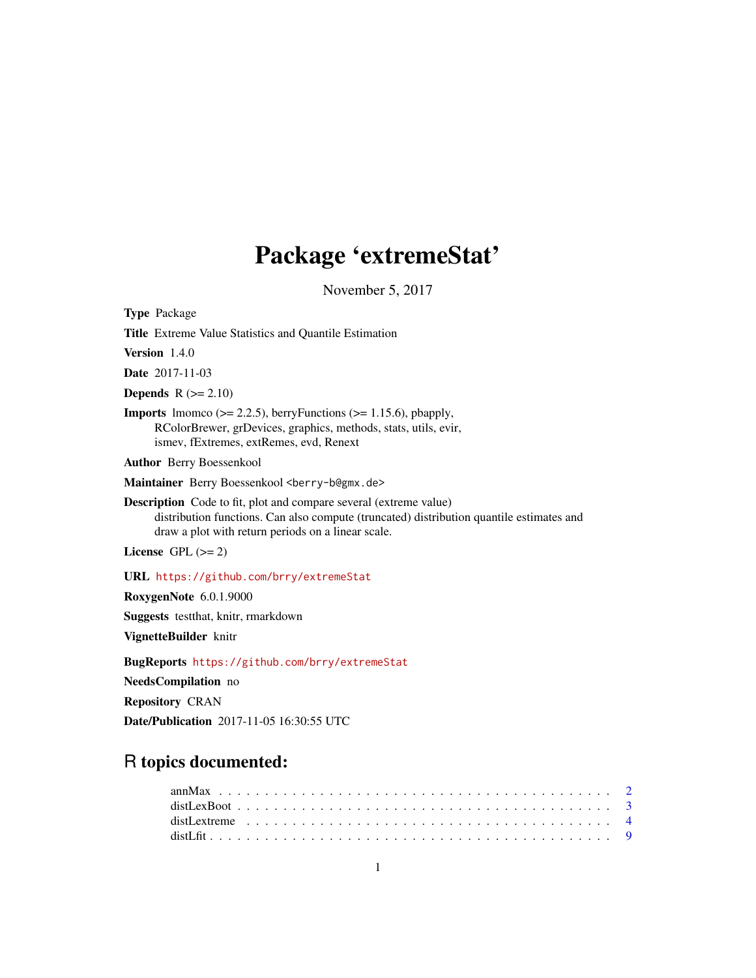# Package 'extremeStat'

November 5, 2017

<span id="page-0-0"></span>

| Type Package                                                                                                                                                                                                               |
|----------------------------------------------------------------------------------------------------------------------------------------------------------------------------------------------------------------------------|
| <b>Title</b> Extreme Value Statistics and Quantile Estimation                                                                                                                                                              |
| <b>Version</b> $1.4.0$                                                                                                                                                                                                     |
| <b>Date</b> 2017-11-03                                                                                                                                                                                                     |
| <b>Depends</b> $R (= 2.10)$                                                                                                                                                                                                |
| <b>Imports</b> Imomeo ( $> = 2.2.5$ ), berry Functions ( $> = 1.15.6$ ), pbapply,<br>RColorBrewer, grDevices, graphics, methods, stats, utils, evir,<br>ismev, fExtremes, extRemes, evd, Renext                            |
| <b>Author</b> Berry Boessenkool                                                                                                                                                                                            |
| Maintainer Berry Boessenkool <berry-b@gmx.de></berry-b@gmx.de>                                                                                                                                                             |
| <b>Description</b> Code to fit, plot and compare several (extreme value)<br>distribution functions. Can also compute (truncated) distribution quantile estimates and<br>draw a plot with return periods on a linear scale. |
| License GPL $(>= 2)$                                                                                                                                                                                                       |
| URL https://github.com/brry/extremeStat                                                                                                                                                                                    |
| RoxygenNote 6.0.1.9000                                                                                                                                                                                                     |
| Suggests testthat, knitr, rmarkdown                                                                                                                                                                                        |
| VignetteBuilder knitr                                                                                                                                                                                                      |
| BugReports https://github.com/brry/extremeStat                                                                                                                                                                             |
| <b>NeedsCompilation</b> no                                                                                                                                                                                                 |
| <b>Repository CRAN</b>                                                                                                                                                                                                     |

Date/Publication 2017-11-05 16:30:55 UTC

### R topics documented: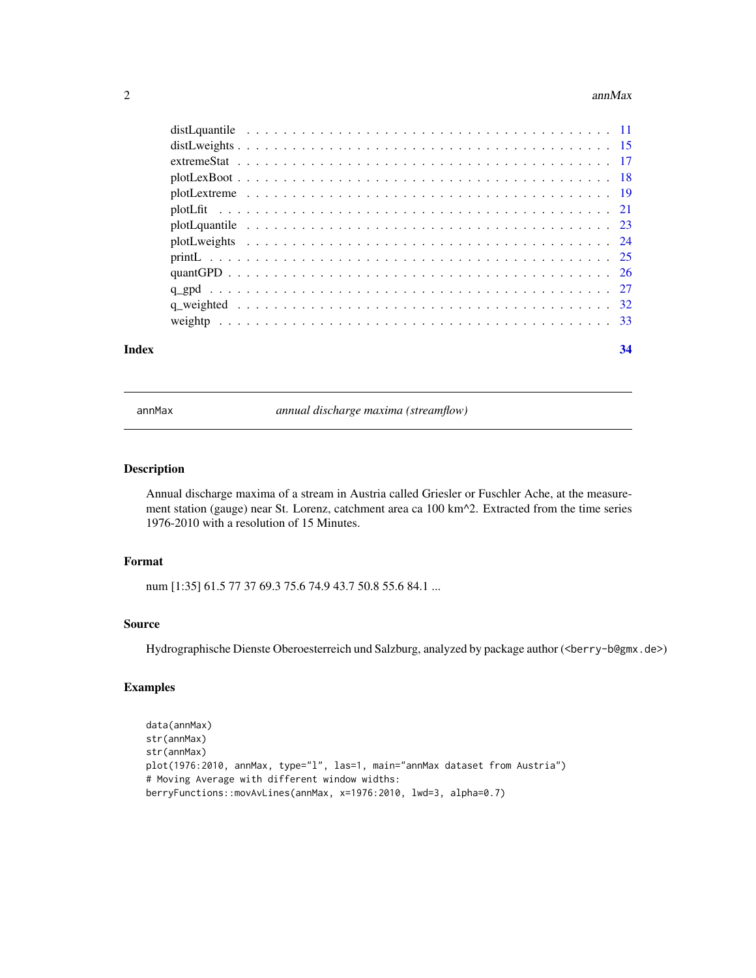#### 2 ann  $Max$

| Index |                | 34 |
|-------|----------------|----|
|       |                |    |
|       |                |    |
|       |                |    |
|       |                |    |
|       |                |    |
|       |                |    |
|       |                |    |
|       |                |    |
|       |                |    |
|       | $plotLexBoost$ |    |
|       |                |    |
|       |                |    |
|       |                |    |

annMax *annual discharge maxima (streamflow)*

#### Description

Annual discharge maxima of a stream in Austria called Griesler or Fuschler Ache, at the measurement station (gauge) near St. Lorenz, catchment area ca 100 km^2. Extracted from the time series 1976-2010 with a resolution of 15 Minutes.

#### Format

num [1:35] 61.5 77 37 69.3 75.6 74.9 43.7 50.8 55.6 84.1 ...

#### Source

Hydrographische Dienste Oberoesterreich und Salzburg, analyzed by package author (<br/>berry-b@gmx.de>)

```
data(annMax)
str(annMax)
str(annMax)
plot(1976:2010, annMax, type="l", las=1, main="annMax dataset from Austria")
# Moving Average with different window widths:
berryFunctions::movAvLines(annMax, x=1976:2010, lwd=3, alpha=0.7)
```
<span id="page-1-0"></span>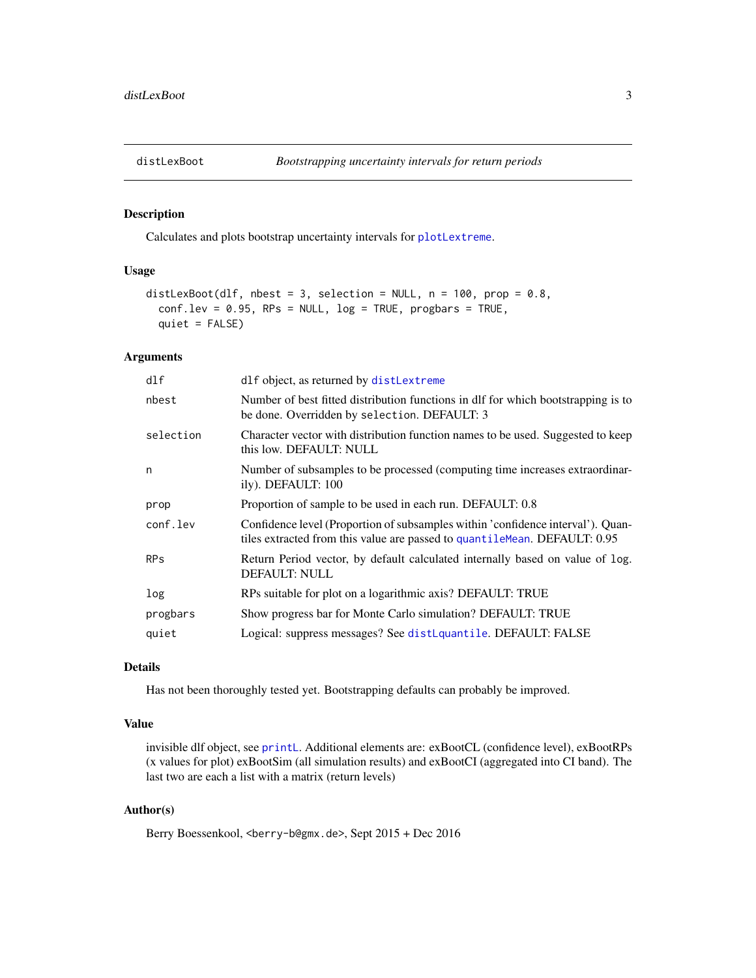<span id="page-2-1"></span><span id="page-2-0"></span>

Calculates and plots bootstrap uncertainty intervals for [plotLextreme](#page-18-1).

#### Usage

```
distLexBoot(dlf, nbest = 3, selection = NULL, n = 100, prop = 0.8,
  conf.lev = 0.95, RPs = NULL, log = TRUE, progbars = TRUE,
  quiet = FALSE)
```
#### Arguments

| $d$ lf     | dlf object, as returned by distLextreme                                                                                                                      |
|------------|--------------------------------------------------------------------------------------------------------------------------------------------------------------|
| nbest      | Number of best fitted distribution functions in dlf for which bootstrapping is to<br>be done. Overridden by selection. DEFAULT: 3                            |
| selection  | Character vector with distribution function names to be used. Suggested to keep<br>this low. DEFAULT: NULL                                                   |
| n          | Number of subsamples to be processed (computing time increases extraordinar-<br>ily). DEFAULT: 100                                                           |
| prop       | Proportion of sample to be used in each run. DEFAULT: 0.8                                                                                                    |
| conf.lev   | Confidence level (Proportion of subsamples within 'confidence interval'). Quan-<br>tiles extracted from this value are passed to quantileMean. DEFAULT: 0.95 |
| <b>RPs</b> | Return Period vector, by default calculated internally based on value of log.<br><b>DEFAULT: NULL</b>                                                        |
| log        | RPs suitable for plot on a logarithmic axis? DEFAULT: TRUE                                                                                                   |
| progbars   | Show progress bar for Monte Carlo simulation? DEFAULT: TRUE                                                                                                  |
| quiet      | Logical: suppress messages? See distLquantile. DEFAULT: FALSE                                                                                                |
|            |                                                                                                                                                              |

#### Details

Has not been thoroughly tested yet. Bootstrapping defaults can probably be improved.

#### Value

invisible dlf object, see [printL](#page-24-1). Additional elements are: exBootCL (confidence level), exBootRPs (x values for plot) exBootSim (all simulation results) and exBootCI (aggregated into CI band). The last two are each a list with a matrix (return levels)

#### Author(s)

Berry Boessenkool, <berry-b@gmx.de>, Sept 2015 + Dec 2016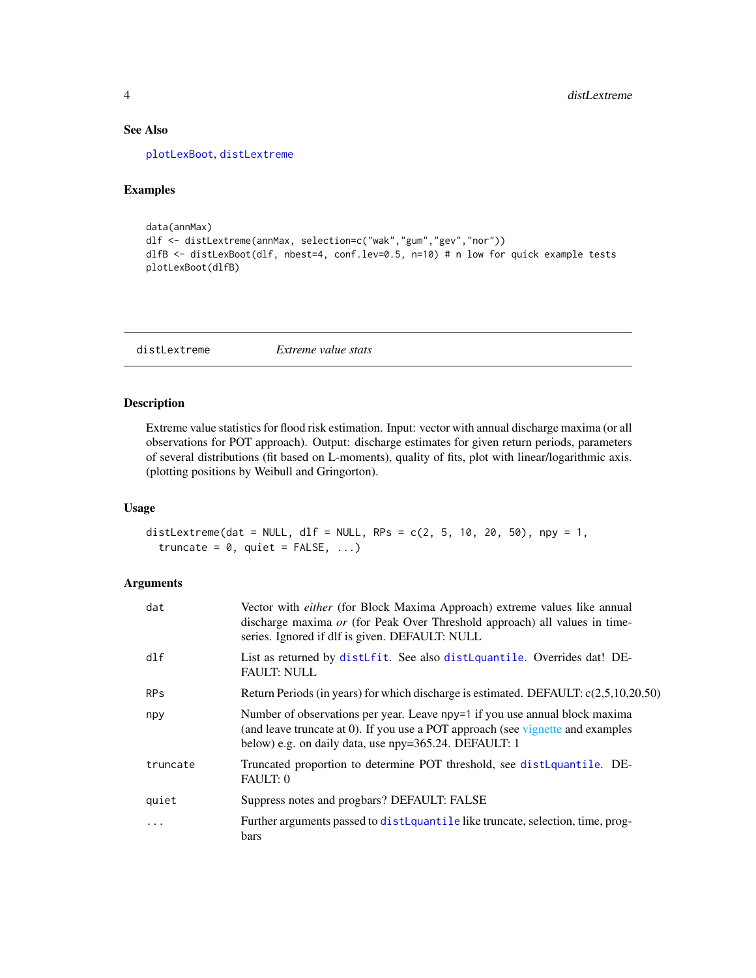#### See Also

[plotLexBoot](#page-17-1), [distLextreme](#page-3-1)

#### Examples

```
data(annMax)
dlf <- distLextreme(annMax, selection=c("wak","gum","gev","nor"))
dlfB <- distLexBoot(dlf, nbest=4, conf.lev=0.5, n=10) # n low for quick example tests
plotLexBoot(dlfB)
```
<span id="page-3-1"></span>distLextreme *Extreme value stats*

#### Description

Extreme value statistics for flood risk estimation. Input: vector with annual discharge maxima (or all observations for POT approach). Output: discharge estimates for given return periods, parameters of several distributions (fit based on L-moments), quality of fits, plot with linear/logarithmic axis. (plotting positions by Weibull and Gringorton).

#### Usage

distLextreme(dat = NULL, dlf = NULL, RPs =  $c(2, 5, 10, 20, 50)$ , npy = 1, truncate =  $0$ , quiet = FALSE, ...)

#### Arguments

| dat        | Vector with either (for Block Maxima Approach) extreme values like annual<br>discharge maxima or (for Peak Over Threshold approach) all values in time-<br>series. Ignored if dlf is given. DEFAULT: NULL               |
|------------|-------------------------------------------------------------------------------------------------------------------------------------------------------------------------------------------------------------------------|
| dlf        | List as returned by distLfit. See also distLquantile. Overrides dat! DE-<br><b>FAULT: NULL</b>                                                                                                                          |
| <b>RPs</b> | Return Periods (in years) for which discharge is estimated. DEFAULT: c(2,5,10,20,50)                                                                                                                                    |
| npy        | Number of observations per year. Leave npy=1 if you use annual block maxima<br>(and leave truncate at 0). If you use a POT approach (see vignette and examples<br>below) e.g. on daily data, use npy=365.24. DEFAULT: 1 |
| truncate   | Truncated proportion to determine POT threshold, see distLquantile. DE-<br><b>FAULT: 0</b>                                                                                                                              |
| quiet      | Suppress notes and progbars? DEFAULT: FALSE                                                                                                                                                                             |
| .          | Further arguments passed to distLquantile like truncate, selection, time, prog-<br><b>bars</b>                                                                                                                          |

<span id="page-3-0"></span>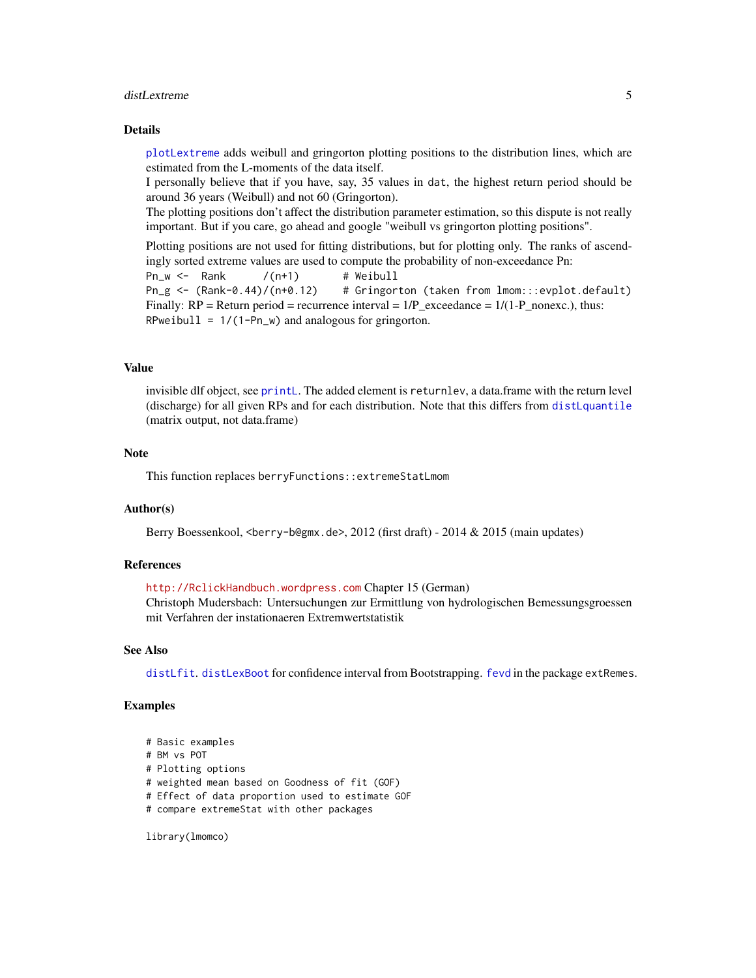#### <span id="page-4-0"></span>distLextreme 5

#### Details

[plotLextreme](#page-18-1) adds weibull and gringorton plotting positions to the distribution lines, which are estimated from the L-moments of the data itself.

I personally believe that if you have, say, 35 values in dat, the highest return period should be around 36 years (Weibull) and not 60 (Gringorton).

The plotting positions don't affect the distribution parameter estimation, so this dispute is not really important. But if you care, go ahead and google "weibull vs gringorton plotting positions".

Plotting positions are not used for fitting distributions, but for plotting only. The ranks of ascendingly sorted extreme values are used to compute the probability of non-exceedance Pn:

 $Pn_w \leftarrow$  Rank  $/(n+1)$  # Weibull Pn\_g <- (Rank-0.44)/(n+0.12) # Gringorton (taken from lmom:::evplot.default) Finally:  $RP = Return period = recurrence interval = 1/P\_exceedance = 1/(1-P\_nonexc.), thus:$ RPweibull =  $1/(1-Pn_w)$  and analogous for gringorton.

#### Value

invisible dlf object, see [printL](#page-24-1). The added element is returnlev, a data.frame with the return level (discharge) for all given RPs and for each distribution. Note that this differs from [distLquantile](#page-10-1) (matrix output, not data.frame)

#### Note

This function replaces berryFunctions::extremeStatLmom

#### Author(s)

Berry Boessenkool, <berry-b@gmx.de>, 2012 (first draft) - 2014 & 2015 (main updates)

#### References

<http://RclickHandbuch.wordpress.com> Chapter 15 (German) Christoph Mudersbach: Untersuchungen zur Ermittlung von hydrologischen Bemessungsgroessen mit Verfahren der instationaeren Extremwertstatistik

#### See Also

[distLfit](#page-8-1). [distLexBoot](#page-2-1) for confidence interval from Bootstrapping. [fevd](#page-0-0) in the package extRemes.

- # Basic examples
- # BM vs POT
- # Plotting options
- # weighted mean based on Goodness of fit (GOF)
- # Effect of data proportion used to estimate GOF
- # compare extremeStat with other packages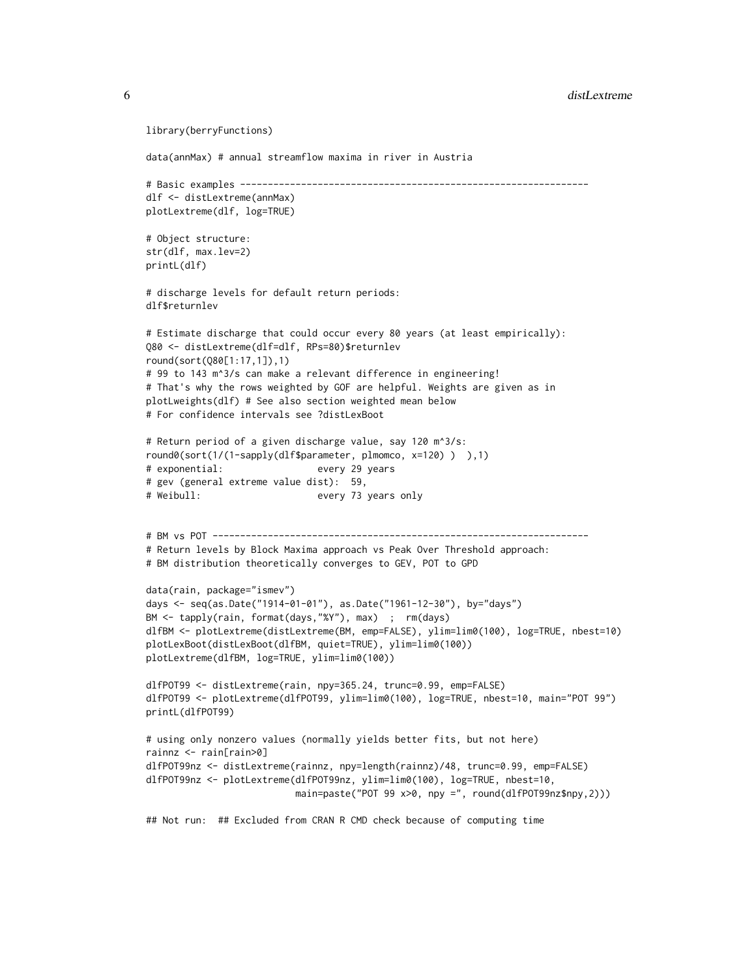```
library(berryFunctions)
data(annMax) # annual streamflow maxima in river in Austria
# Basic examples ---------------------------------------------------------------
dlf <- distLextreme(annMax)
plotLextreme(dlf, log=TRUE)
# Object structure:
str(dlf, max.lev=2)
printL(dlf)
# discharge levels for default return periods:
dlf$returnlev
# Estimate discharge that could occur every 80 years (at least empirically):
Q80 <- distLextreme(dlf=dlf, RPs=80)$returnlev
round(sort(Q80[1:17,1]),1)
# 99 to 143 m^3/s can make a relevant difference in engineering!
# That's why the rows weighted by GOF are helpful. Weights are given as in
plotLweights(dlf) # See also section weighted mean below
# For confidence intervals see ?distLexBoot
# Return period of a given discharge value, say 120 m^3/s:
round0(sort(1/(1-sapply(dlf$parameter, plmomco, x=120) ) ),1)
# exponential: every 29 years
# gev (general extreme value dist): 59,
# Weibull: every 73 years only
# BM vs POT --------------------------------------------------------------------
# Return levels by Block Maxima approach vs Peak Over Threshold approach:
# BM distribution theoretically converges to GEV, POT to GPD
data(rain, package="ismev")
days <- seq(as.Date("1914-01-01"), as.Date("1961-12-30"), by="days")
BM <- tapply(rain, format(days,"%Y"), max) ; rm(days)
dlfBM <- plotLextreme(distLextreme(BM, emp=FALSE), ylim=lim0(100), log=TRUE, nbest=10)
plotLexBoot(distLexBoot(dlfBM, quiet=TRUE), ylim=lim0(100))
plotLextreme(dlfBM, log=TRUE, ylim=lim0(100))
dlfPOT99 <- distLextreme(rain, npy=365.24, trunc=0.99, emp=FALSE)
dlfPOT99 <- plotLextreme(dlfPOT99, ylim=lim0(100), log=TRUE, nbest=10, main="POT 99")
printL(dlfPOT99)
# using only nonzero values (normally yields better fits, but not here)
rainnz <- rain[rain>0]
dlfPOT99nz <- distLextreme(rainnz, npy=length(rainnz)/48, trunc=0.99, emp=FALSE)
dlfPOT99nz <- plotLextreme(dlfPOT99nz, ylim=lim0(100), log=TRUE, nbest=10,
                          main=paste("POT 99 x>0, npy =", round(dlfPOT99nz$npy,2)))
## Not run: ## Excluded from CRAN R CMD check because of computing time
```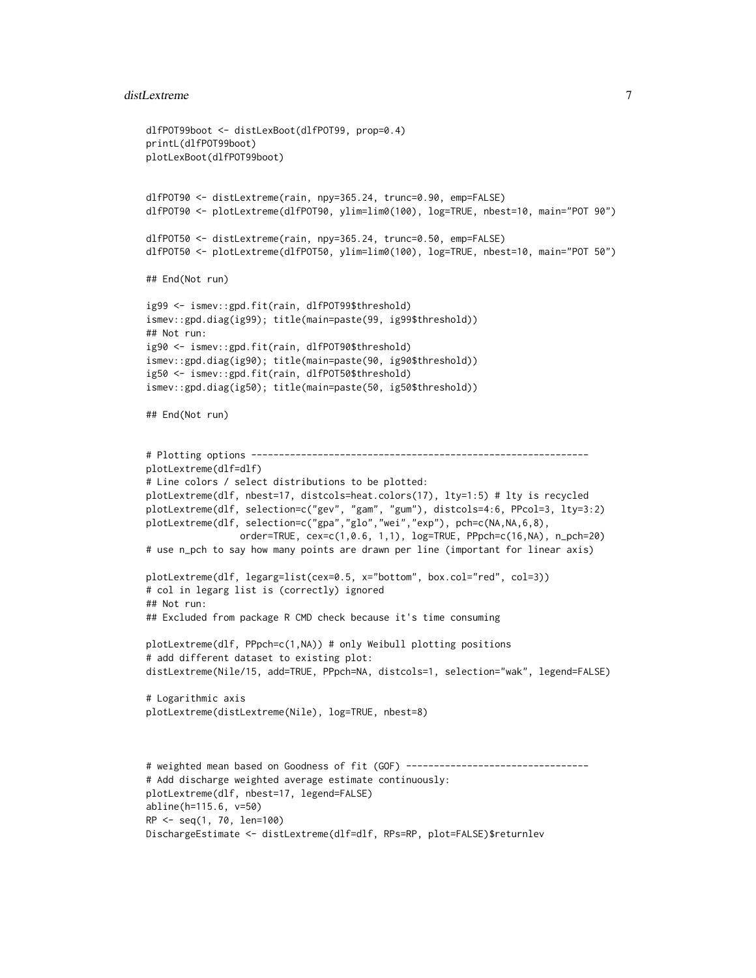#### distLextreme 7

```
dlfPOT99boot <- distLexBoot(dlfPOT99, prop=0.4)
printL(dlfPOT99boot)
plotLexBoot(dlfPOT99boot)
dlfPOT90 <- distLextreme(rain, npy=365.24, trunc=0.90, emp=FALSE)
dlfPOT90 <- plotLextreme(dlfPOT90, ylim=lim0(100), log=TRUE, nbest=10, main="POT 90")
dlfPOT50 <- distLextreme(rain, npy=365.24, trunc=0.50, emp=FALSE)
dlfPOT50 <- plotLextreme(dlfPOT50, ylim=lim0(100), log=TRUE, nbest=10, main="POT 50")
## End(Not run)
ig99 <- ismev::gpd.fit(rain, dlfPOT99$threshold)
ismev::gpd.diag(ig99); title(main=paste(99, ig99$threshold))
## Not run:
ig90 <- ismev::gpd.fit(rain, dlfPOT90$threshold)
ismev::gpd.diag(ig90); title(main=paste(90, ig90$threshold))
ig50 <- ismev::gpd.fit(rain, dlfPOT50$threshold)
ismev::gpd.diag(ig50); title(main=paste(50, ig50$threshold))
## End(Not run)
# Plotting options -------------------------------------------------------------
plotLextreme(dlf=dlf)
# Line colors / select distributions to be plotted:
plotLextreme(dlf, nbest=17, distcols=heat.colors(17), lty=1:5) # lty is recycled
plotLextreme(dlf, selection=c("gev", "gam", "gum"), distcols=4:6, PPcol=3, lty=3:2)
plotLextreme(dlf, selection=c("gpa","glo","wei","exp"), pch=c(NA,NA,6,8),
                 order=TRUE, cex=c(1,0.6, 1,1), log=TRUE, PPpch=c(16,NA), n_pch=20)
# use n_pch to say how many points are drawn per line (important for linear axis)
plotLextreme(dlf, legarg=list(cex=0.5, x="bottom", box.col="red", col=3))
# col in legarg list is (correctly) ignored
## Not run:
## Excluded from package R CMD check because it's time consuming
plotLextreme(dlf, PPpch=c(1,NA)) # only Weibull plotting positions
# add different dataset to existing plot:
distLextreme(Nile/15, add=TRUE, PPpch=NA, distcols=1, selection="wak", legend=FALSE)
# Logarithmic axis
plotLextreme(distLextreme(Nile), log=TRUE, nbest=8)
# weighted mean based on Goodness of fit (GOF) ---------------------------------
# Add discharge weighted average estimate continuously:
plotLextreme(dlf, nbest=17, legend=FALSE)
abline(h=115.6, v=50)
RP <- seq(1, 70, len=100)
DischargeEstimate <- distLextreme(dlf=dlf, RPs=RP, plot=FALSE)$returnlev
```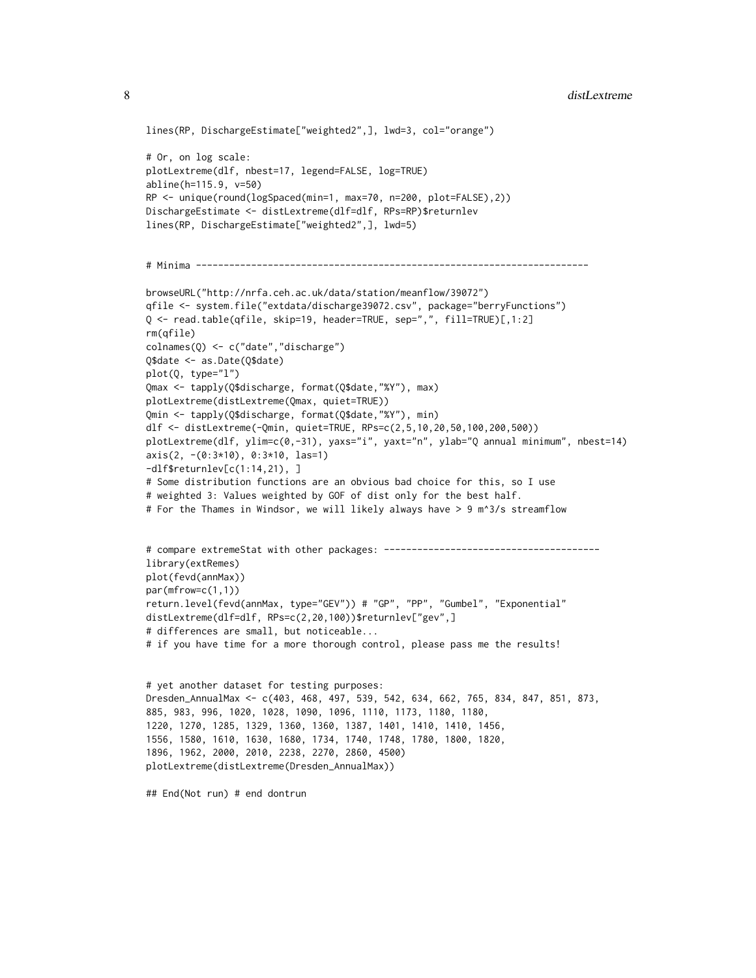```
lines(RP, DischargeEstimate["weighted2",], lwd=3, col="orange")
# Or, on log scale:
plotLextreme(dlf, nbest=17, legend=FALSE, log=TRUE)
abline(h=115.9, v=50)
RP <- unique(round(logSpaced(min=1, max=70, n=200, plot=FALSE),2))
DischargeEstimate <- distLextreme(dlf=dlf, RPs=RP)$returnlev
lines(RP, DischargeEstimate["weighted2",], lwd=5)
# Minima -----------------------------------------------------------------------
browseURL("http://nrfa.ceh.ac.uk/data/station/meanflow/39072")
qfile <- system.file("extdata/discharge39072.csv", package="berryFunctions")
Q <- read.table(qfile, skip=19, header=TRUE, sep=",", fill=TRUE)[,1:2]
rm(qfile)
colnames(Q) <- c("date","discharge")
Q$date <- as.Date(Q$date)
plot(Q, type="l")
Qmax <- tapply(Q$discharge, format(Q$date,"%Y"), max)
plotLextreme(distLextreme(Qmax, quiet=TRUE))
Qmin <- tapply(Q$discharge, format(Q$date,"%Y"), min)
dlf <- distLextreme(-Qmin, quiet=TRUE, RPs=c(2,5,10,20,50,100,200,500))
plotLextreme(dlf, ylim=c(0,-31), yaxs="i", yaxt="n", ylab="Q annual minimum", nbest=14)
axis(2, -(0:3*10), 0:3*10, las=1)
-dlf$returnlev[c(1:14,21), ]
# Some distribution functions are an obvious bad choice for this, so I use
# weighted 3: Values weighted by GOF of dist only for the best half.
# For the Thames in Windsor, we will likely always have > 9 m^3/s streamflow
# compare extremeStat with other packages: ---------------------------------------
library(extRemes)
plot(fevd(annMax))
par(mfrow=c(1,1))
return.level(fevd(annMax, type="GEV")) # "GP", "PP", "Gumbel", "Exponential"
distLextreme(dlf=dlf, RPs=c(2,20,100))$returnlev["gev",]
# differences are small, but noticeable...
# if you have time for a more thorough control, please pass me the results!
# yet another dataset for testing purposes:
Dresden_AnnualMax <- c(403, 468, 497, 539, 542, 634, 662, 765, 834, 847, 851, 873,
885, 983, 996, 1020, 1028, 1090, 1096, 1110, 1173, 1180, 1180,
1220, 1270, 1285, 1329, 1360, 1360, 1387, 1401, 1410, 1410, 1456,
```

```
1556, 1580, 1610, 1630, 1680, 1734, 1740, 1748, 1780, 1800, 1820,
```
1896, 1962, 2000, 2010, 2238, 2270, 2860, 4500)

plotLextreme(distLextreme(Dresden\_AnnualMax))

## End(Not run) # end dontrun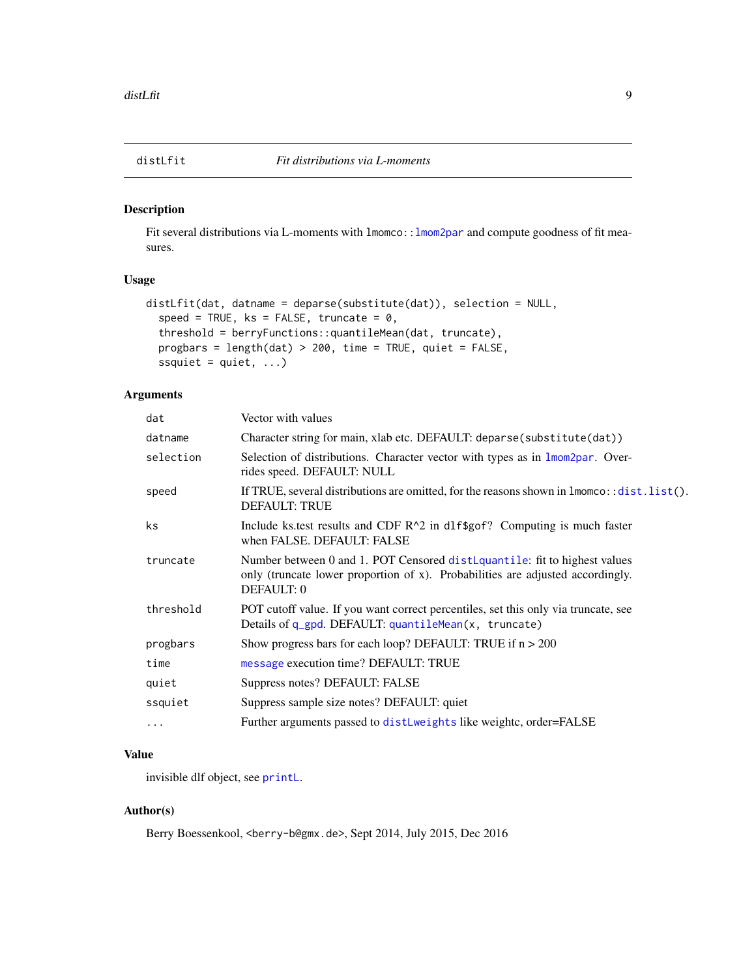<span id="page-8-1"></span><span id="page-8-0"></span>

Fit several distributions via L-moments with  $lmomco: :lmom2par$  $lmomco: :lmom2par$  and compute goodness of fit measures.

#### Usage

```
distLfit(dat, datname = deparse(substitute(dat)), selection = NULL,
  speed = TRUE, ks = FALSE, truncate = 0,
  threshold = berryFunctions::quantileMean(dat, truncate),
 progbars = length(dat) > 200, time = TRUE, quiet = FALSE,
  ssquiet = quiet, ...)
```
#### Arguments

| dat       | Vector with values                                                                                                                                                        |
|-----------|---------------------------------------------------------------------------------------------------------------------------------------------------------------------------|
| datname   | Character string for main, xlab etc. DEFAULT: deparse (substitute (dat))                                                                                                  |
| selection | Selection of distributions. Character vector with types as in 1 mom2par. Over-<br>rides speed. DEFAULT: NULL                                                              |
| speed     | If TRUE, several distributions are omitted, for the reasons shown in 1momco::dist.list().<br><b>DEFAULT: TRUE</b>                                                         |
| ks        | Include ks.test results and CDF $R^2$ in d1f\$gof? Computing is much faster<br>when FALSE. DEFAULT: FALSE                                                                 |
| truncate  | Number between 0 and 1. POT Censored distLquantile: fit to highest values<br>only (truncate lower proportion of x). Probabilities are adjusted accordingly.<br>DEFAULT: 0 |
| threshold | POT cutoff value. If you want correct percentiles, set this only via truncate, see<br>Details of q_gpd. DEFAULT: quantileMean(x, truncate)                                |
| progbars  | Show progress bars for each loop? DEFAULT: TRUE if $n > 200$                                                                                                              |
| time      | message execution time? DEFAULT: TRUE                                                                                                                                     |
| quiet     | Suppress notes? DEFAULT: FALSE                                                                                                                                            |
| ssquiet   | Suppress sample size notes? DEFAULT: quiet                                                                                                                                |
| $\cdots$  | Further arguments passed to distLweights like weightc, order=FALSE                                                                                                        |

#### Value

invisible dlf object, see [printL](#page-24-1).

#### Author(s)

Berry Boessenkool, <berry-b@gmx.de>, Sept 2014, July 2015, Dec 2016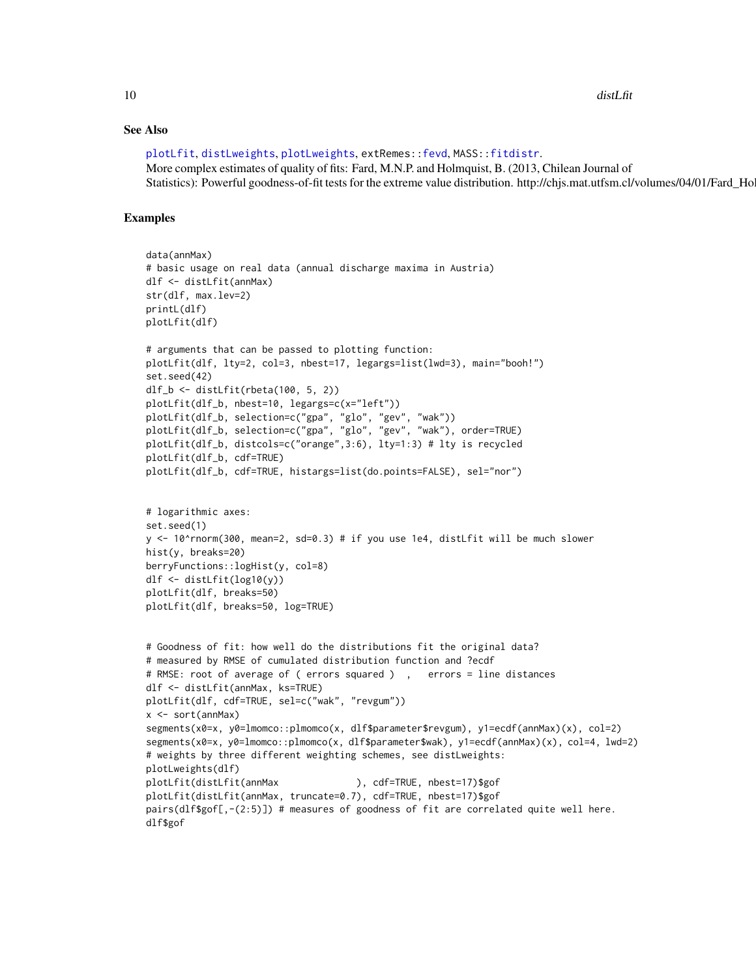#### See Also

[plotLfit](#page-20-1), [distLweights](#page-14-1), [plotLweights](#page-23-1), extRemes:[:fevd](#page-0-0), MASS:[:fitdistr](#page-0-0). More complex estimates of quality of fits: Fard, M.N.P. and Holmquist, B. (2013, Chilean Journal of Statistics): Powerful goodness-of-fit tests for the extreme value distribution. http://chjs.mat.utfsm.cl/volumes/04/01/Fard\_Ho

```
data(annMax)
# basic usage on real data (annual discharge maxima in Austria)
dlf <- distLfit(annMax)
str(dlf, max.lev=2)
printL(dlf)
plotLfit(dlf)
# arguments that can be passed to plotting function:
plotLfit(dlf, lty=2, col=3, nbest=17, legargs=list(lwd=3), main="booh!")
set.seed(42)
dlf_b <- distLfit(rbeta(100, 5, 2))
plotLfit(dlf_b, nbest=10, legargs=c(x="left"))
plotLfit(dlf_b, selection=c("gpa", "glo", "gev", "wak"))
plotLfit(dlf_b, selection=c("gpa", "glo", "gev", "wak"), order=TRUE)
plotLfit(dlf_b, distcols=c("orange",3:6), lty=1:3) # lty is recycled
plotLfit(dlf_b, cdf=TRUE)
plotLfit(dlf_b, cdf=TRUE, histargs=list(do.points=FALSE), sel="nor")
# logarithmic axes:
set.seed(1)
y <- 10^rnorm(300, mean=2, sd=0.3) # if you use 1e4, distLfit will be much slower
hist(y, breaks=20)
berryFunctions::logHist(y, col=8)
dlf <- distLfit(log10(y))
plotLfit(dlf, breaks=50)
plotLfit(dlf, breaks=50, log=TRUE)
# Goodness of fit: how well do the distributions fit the original data?
# measured by RMSE of cumulated distribution function and ?ecdf
# RMSE: root of average of ( errors squared ) , errors = line distances
dlf <- distLfit(annMax, ks=TRUE)
plotLfit(dlf, cdf=TRUE, sel=c("wak", "revgum"))
x <- sort(annMax)
segments(x0=x, y0=lmomco::plmomco(x, dlf$parameter$revgum), y1=ecdf(annMax)(x), col=2)
segments(x0=x, y0=lmomco::plmomco(x, dlf$parameter$wak), y1=ecdf(annMax)(x), col=4, lwd=2)
# weights by three different weighting schemes, see distLweights:
plotLweights(dlf)
plotLfit(distLfit(annMax ), cdf=TRUE, nbest=17)$gof
plotLfit(distLfit(annMax, truncate=0.7), cdf=TRUE, nbest=17)$gof
pairs(dlf$gof[,-(2:5)]) # measures of goodness of fit are correlated quite well here.
dlf$gof
```
<span id="page-9-0"></span>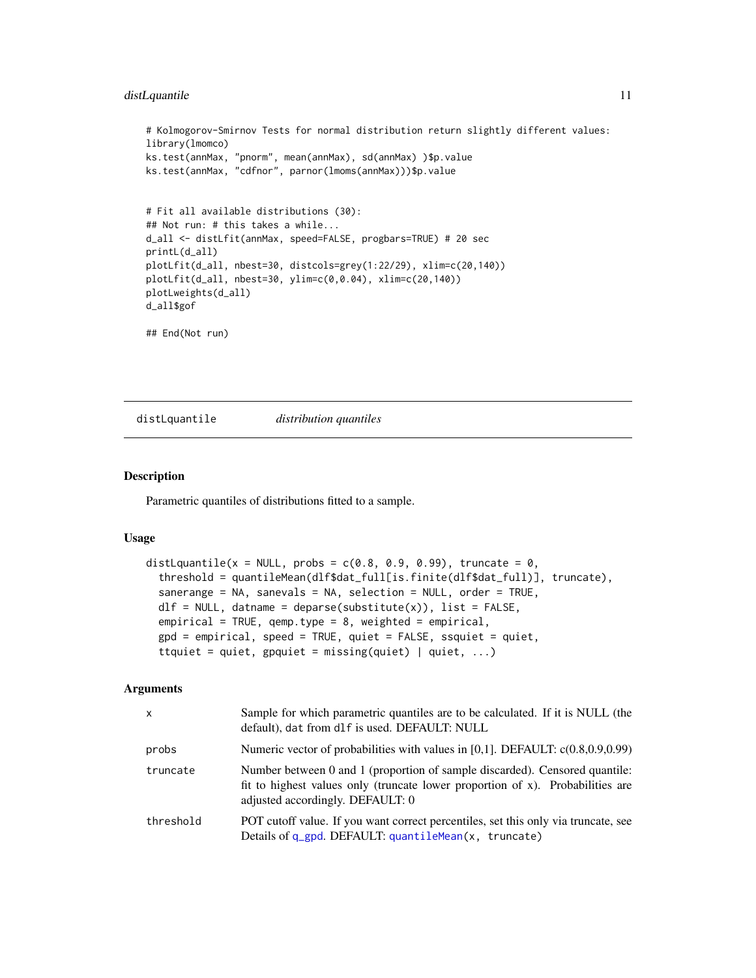#### <span id="page-10-0"></span>distLquantile 11

```
# Kolmogorov-Smirnov Tests for normal distribution return slightly different values:
library(lmomco)
ks.test(annMax, "pnorm", mean(annMax), sd(annMax) )$p.value
ks.test(annMax, "cdfnor", parnor(lmoms(annMax)))$p.value
# Fit all available distributions (30):
## Not run: # this takes a while...
d_all <- distLfit(annMax, speed=FALSE, progbars=TRUE) # 20 sec
printL(d_all)
plotLfit(d_all, nbest=30, distcols=grey(1:22/29), xlim=c(20,140))
plotLfit(d_all, nbest=30, ylim=c(0,0.04), xlim=c(20,140))
plotLweights(d_all)
d_all$gof
## End(Not run)
```
<span id="page-10-1"></span>distLquantile *distribution quantiles*

#### Description

Parametric quantiles of distributions fitted to a sample.

#### Usage

```
distLquantile(x = NULL, probs = c(0.8, 0.9, 0.99), truncate = 0,
  threshold = quantileMean(dlf$dat_full[is.finite(dlf$dat_full)], truncate),
  sanerange = NA, sanevals = NA, selection = NULL, order = TRUE,
  dIf = NULL, datname = deparse(substitute(x)), list = FALSE,
  empirical = TRUE, qemp.type = 8, weighted = empirical,
  gpd = empirical, speed = TRUE, quiet = FALSE, ssquiet = quiet,
  ttquiet = quiet, gpquiet = missing(quiet) | quiet, ...)
```
#### Arguments

| X         | Sample for which parametric quantiles are to be calculated. If it is NULL (the<br>default), dat from d1f is used. DEFAULT: NULL                                                                   |
|-----------|---------------------------------------------------------------------------------------------------------------------------------------------------------------------------------------------------|
| probs     | Numeric vector of probabilities with values in $[0,1]$ . DEFAULT: $c(0.8, 0.9, 0.99)$                                                                                                             |
| truncate  | Number between 0 and 1 (proportion of sample discarded). Censored quantile:<br>fit to highest values only (truncate lower proportion of x). Probabilities are<br>adjusted accordingly. DEFAULT: 0 |
| threshold | POT cutoff value. If you want correct percentiles, set this only via truncate, see<br>Details of q_gpd. DEFAULT: quantileMean(x, truncate)                                                        |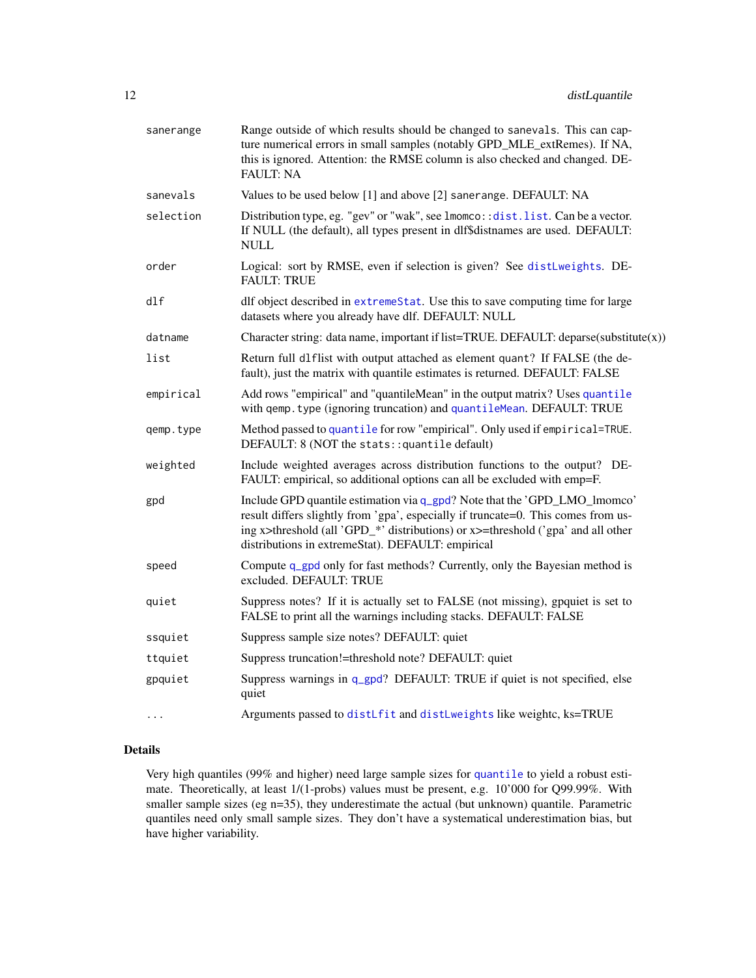<span id="page-11-0"></span>

| sanerange | Range outside of which results should be changed to sanevals. This can cap-<br>ture numerical errors in small samples (notably GPD_MLE_extRemes). If NA,<br>this is ignored. Attention: the RMSE column is also checked and changed. DE-<br><b>FAULT: NA</b>                                            |
|-----------|---------------------------------------------------------------------------------------------------------------------------------------------------------------------------------------------------------------------------------------------------------------------------------------------------------|
| sanevals  | Values to be used below [1] and above [2] sanerange. DEFAULT: NA                                                                                                                                                                                                                                        |
| selection | Distribution type, eg. "gev" or "wak", see 1momco::dist.list. Can be a vector.<br>If NULL (the default), all types present in dlf\$distnames are used. DEFAULT:<br><b>NULL</b>                                                                                                                          |
| order     | Logical: sort by RMSE, even if selection is given? See distLweights. DE-<br><b>FAULT: TRUE</b>                                                                                                                                                                                                          |
| dlf       | dlf object described in extremeStat. Use this to save computing time for large<br>datasets where you already have dlf. DEFAULT: NULL                                                                                                                                                                    |
| datname   | Character string: data name, important if list=TRUE. DEFAULT: deparse(substitute(x))                                                                                                                                                                                                                    |
| list      | Return full d1flist with output attached as element quant? If FALSE (the de-<br>fault), just the matrix with quantile estimates is returned. DEFAULT: FALSE                                                                                                                                             |
| empirical | Add rows "empirical" and "quantileMean" in the output matrix? Uses quantile<br>with gemp. type (ignoring truncation) and quantileMean. DEFAULT: TRUE                                                                                                                                                    |
| qemp.type | Method passed to quantile for row "empirical". Only used if empirical=TRUE.<br>DEFAULT: 8 (NOT the stats:: quantile default)                                                                                                                                                                            |
| weighted  | Include weighted averages across distribution functions to the output? DE-<br>FAULT: empirical, so additional options can all be excluded with emp=F.                                                                                                                                                   |
| gpd       | Include GPD quantile estimation via q_gpd? Note that the 'GPD_LMO_lmomco'<br>result differs slightly from 'gpa', especially if truncate=0. This comes from us-<br>ing x>threshold (all 'GPD_*' distributions) or x>=threshold ('gpa' and all other<br>distributions in extremeStat). DEFAULT: empirical |
| speed     | Compute q_gpd only for fast methods? Currently, only the Bayesian method is<br>excluded. DEFAULT: TRUE                                                                                                                                                                                                  |
| quiet     | Suppress notes? If it is actually set to FALSE (not missing), gpquiet is set to<br>FALSE to print all the warnings including stacks. DEFAULT: FALSE                                                                                                                                                     |
| ssquiet   | Suppress sample size notes? DEFAULT: quiet                                                                                                                                                                                                                                                              |
| ttquiet   | Suppress truncation!=threshold note? DEFAULT: quiet                                                                                                                                                                                                                                                     |
| gpquiet   | Suppress warnings in q_gpd? DEFAULT: TRUE if quiet is not specified, else<br>quiet                                                                                                                                                                                                                      |
| $\cdots$  | Arguments passed to distLfit and distLweights like weightc, ks=TRUE                                                                                                                                                                                                                                     |

#### Details

Very high quantiles (99% and higher) need large sample sizes for [quantile](#page-0-0) to yield a robust estimate. Theoretically, at least 1/(1-probs) values must be present, e.g. 10'000 for Q99.99%. With smaller sample sizes (eg n=35), they underestimate the actual (but unknown) quantile. Parametric quantiles need only small sample sizes. They don't have a systematical underestimation bias, but have higher variability.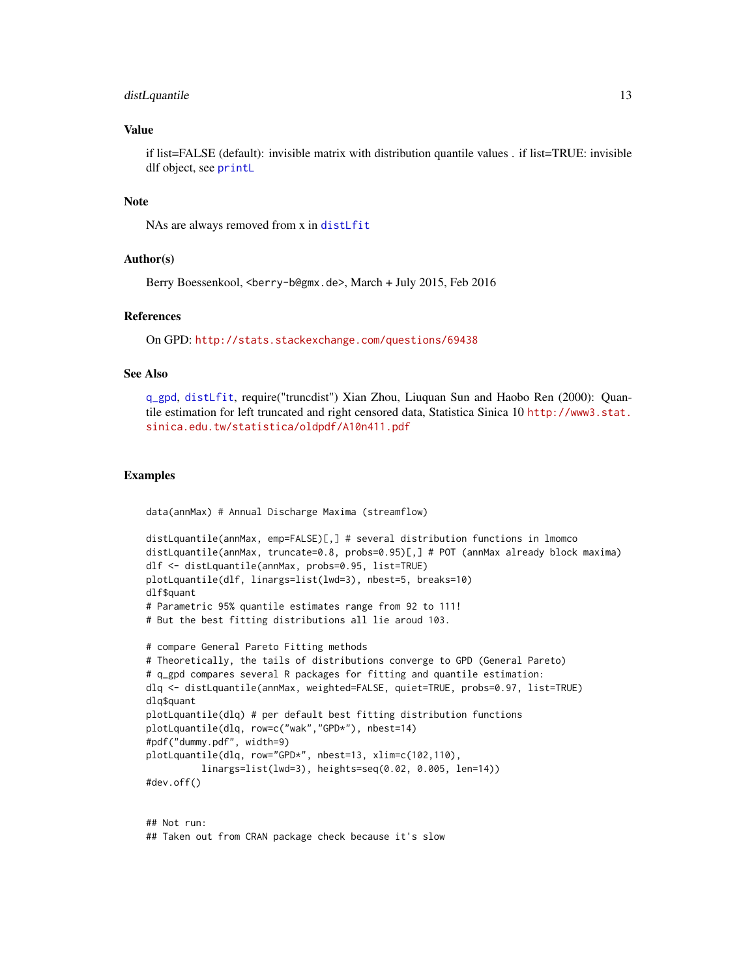#### <span id="page-12-0"></span>distLquantile 13

#### Value

if list=FALSE (default): invisible matrix with distribution quantile values . if list=TRUE: invisible dlf object, see [printL](#page-24-1)

#### **Note**

NAs are always removed from x in [distLfit](#page-8-1)

#### Author(s)

Berry Boessenkool, <berry-b@gmx.de>, March + July 2015, Feb 2016

#### References

On GPD: <http://stats.stackexchange.com/questions/69438>

#### See Also

[q\\_gpd](#page-26-1), [distLfit](#page-8-1), require("truncdist") Xian Zhou, Liuquan Sun and Haobo Ren (2000): Quantile estimation for left truncated and right censored data, Statistica Sinica 10 [http://www3.stat.](http://www3.stat.sinica.edu.tw/statistica/oldpdf/A10n411.pdf) [sinica.edu.tw/statistica/oldpdf/A10n411.pdf](http://www3.stat.sinica.edu.tw/statistica/oldpdf/A10n411.pdf)

#### Examples

data(annMax) # Annual Discharge Maxima (streamflow)

```
distLquantile(annMax, emp=FALSE)[,] # several distribution functions in lmomco
distLquantile(annMax, truncate=0.8, probs=0.95)[,] # POT (annMax already block maxima)
dlf <- distLquantile(annMax, probs=0.95, list=TRUE)
plotLquantile(dlf, linargs=list(lwd=3), nbest=5, breaks=10)
dlf$quant
# Parametric 95% quantile estimates range from 92 to 111!
# But the best fitting distributions all lie aroud 103.
# compare General Pareto Fitting methods
# Theoretically, the tails of distributions converge to GPD (General Pareto)
# q_gpd compares several R packages for fitting and quantile estimation:
dlq <- distLquantile(annMax, weighted=FALSE, quiet=TRUE, probs=0.97, list=TRUE)
dlq$quant
plotLquantile(dlq) # per default best fitting distribution functions
plotLquantile(dlq, row=c("wak","GPD*"), nbest=14)
#pdf("dummy.pdf", width=9)
plotLquantile(dlq, row="GPD*", nbest=13, xlim=c(102,110),
         linargs=list(lwd=3), heights=seq(0.02, 0.005, len=14))
#dev.off()
```
## Not run: ## Taken out from CRAN package check because it's slow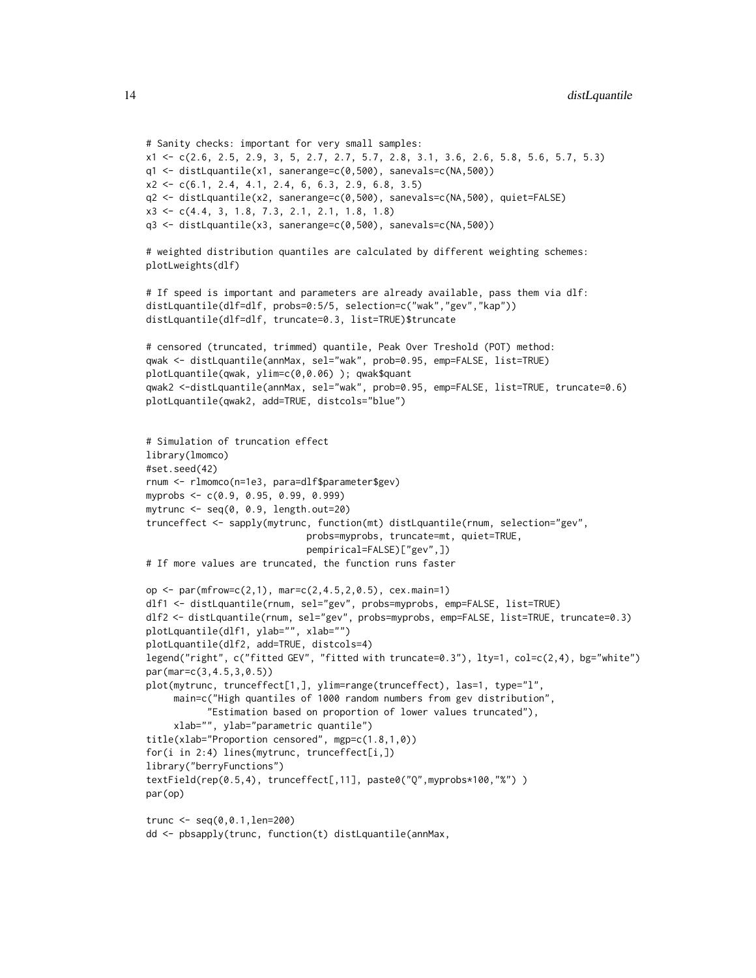```
# Sanity checks: important for very small samples:
x1 <- c(2.6, 2.5, 2.9, 3, 5, 2.7, 2.7, 5.7, 2.8, 3.1, 3.6, 2.6, 5.8, 5.6, 5.7, 5.3)
q1 <- distLquantile(x1, sanerange=c(0,500), sanevals=c(NA,500))
x2 <- c(6.1, 2.4, 4.1, 2.4, 6, 6.3, 2.9, 6.8, 3.5)
q2 <- distLquantile(x2, sanerange=c(0,500), sanevals=c(NA,500), quiet=FALSE)
x3 <- c(4.4, 3, 1.8, 7.3, 2.1, 2.1, 1.8, 1.8)
q3 <- distLquantile(x3, sanerange=c(0,500), sanevals=c(NA,500))
# weighted distribution quantiles are calculated by different weighting schemes:
plotLweights(dlf)
# If speed is important and parameters are already available, pass them via dlf:
distLquantile(dlf=dlf, probs=0:5/5, selection=c("wak","gev","kap"))
distLquantile(dlf=dlf, truncate=0.3, list=TRUE)$truncate
# censored (truncated, trimmed) quantile, Peak Over Treshold (POT) method:
qwak <- distLquantile(annMax, sel="wak", prob=0.95, emp=FALSE, list=TRUE)
plotLquantile(qwak, ylim=c(0,0.06) ); qwak$quant
qwak2 <-distLquantile(annMax, sel="wak", prob=0.95, emp=FALSE, list=TRUE, truncate=0.6)
plotLquantile(qwak2, add=TRUE, distcols="blue")
# Simulation of truncation effect
library(lmomco)
#set.seed(42)
rnum <- rlmomco(n=1e3, para=dlf$parameter$gev)
myprobs <- c(0.9, 0.95, 0.99, 0.999)
mytrunc <- seq(0, 0.9, length.out=20)
trunceffect <- sapply(mytrunc, function(mt) distLquantile(rnum, selection="gev",
                             probs=myprobs, truncate=mt, quiet=TRUE,
                             pempirical=FALSE)["gev",])
# If more values are truncated, the function runs faster
op <- par(mfrow=c(2,1), mar=c(2,4.5,2,0.5), cex.main=1)
dlf1 <- distLquantile(rnum, sel="gev", probs=myprobs, emp=FALSE, list=TRUE)
dlf2 <- distLquantile(rnum, sel="gev", probs=myprobs, emp=FALSE, list=TRUE, truncate=0.3)
plotLquantile(dlf1, ylab="", xlab="")
plotLquantile(dlf2, add=TRUE, distcols=4)
legend("right", c("fitted GEV", "fitted with truncate=0.3"), lty=1, col=c(2,4), bg="white")
par(mar=c(3,4.5,3,0.5))
plot(mytrunc, trunceffect[1,], ylim=range(trunceffect), las=1, type="l",
     main=c("High quantiles of 1000 random numbers from gev distribution",
           "Estimation based on proportion of lower values truncated"),
     xlab="", ylab="parametric quantile")
title(xlab="Proportion censored", mgp=c(1.8,1,0))
for(i in 2:4) lines(mytrunc, trunceffect[i,])
library("berryFunctions")
textField(rep(0.5,4), trunceffect[,11], paste0("Q",myprobs*100,"%") )
par(op)
trunc <- seq(0,0.1,len=200)
```

```
dd <- pbsapply(trunc, function(t) distLquantile(annMax,
```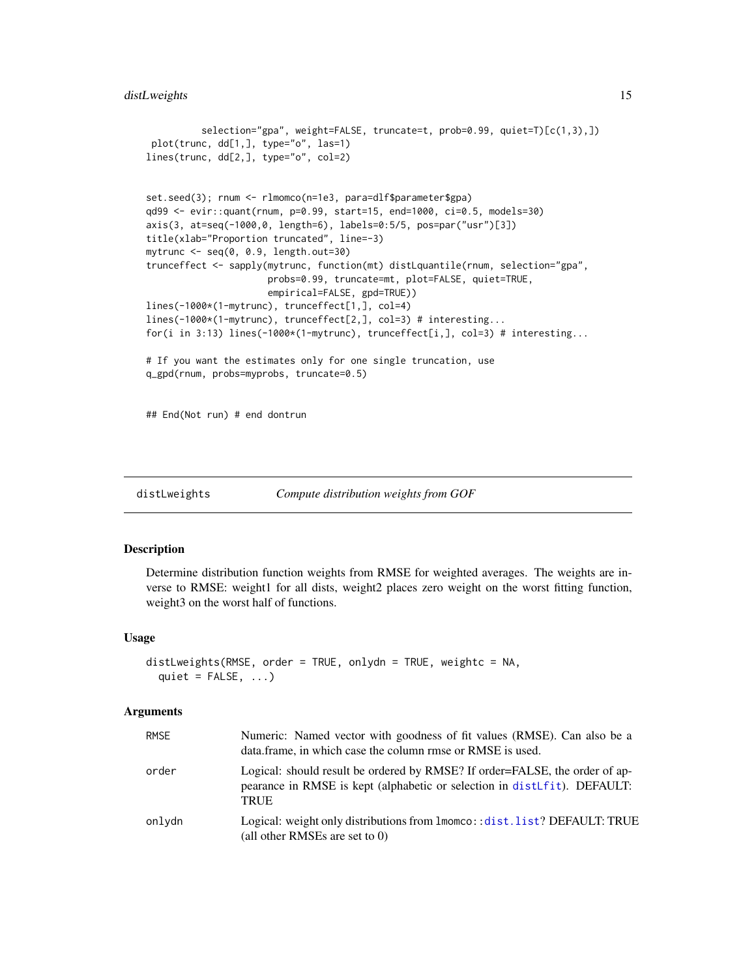#### <span id="page-14-0"></span>distLweights 15

```
selection="gpa", weight=FALSE, truncate=t, prob=0.99, quiet=T)[c(1,3),])
plot(trunc, dd[1,], type="o", las=1)
lines(trunc, dd[2,], type="o", col=2)
set.seed(3); rnum <- rlmomco(n=1e3, para=dlf$parameter$gpa)
qd99 <- evir::quant(rnum, p=0.99, start=15, end=1000, ci=0.5, models=30)
axis(3, at=seq(-1000,0, length=6), labels=0:5/5, pos=par("usr")[3])
title(xlab="Proportion truncated", line=-3)
mytrunc <- seq(0, 0.9, length.out=30)
trunceffect <- sapply(mytrunc, function(mt) distLquantile(rnum, selection="gpa",
                     probs=0.99, truncate=mt, plot=FALSE, quiet=TRUE,
                      empirical=FALSE, gpd=TRUE))
lines(-1000*(1-mytrunc), trunceffect[1,], col=4)
lines(-1000*(1-mytrunc), trunceffect[2,], col=3) # interesting...
for(i in 3:13) lines(-1000*(1-mytrunc), trunceffect[i,], col=3) # interesting...
# If you want the estimates only for one single truncation, use
q_gpd(rnum, probs=myprobs, truncate=0.5)
## End(Not run) # end dontrun
```
<span id="page-14-1"></span>distLweights *Compute distribution weights from GOF*

#### Description

Determine distribution function weights from RMSE for weighted averages. The weights are inverse to RMSE: weight1 for all dists, weight2 places zero weight on the worst fitting function, weight3 on the worst half of functions.

#### Usage

```
distLweights(RMSE, order = TRUE, onlydn = TRUE, weightc = NA,
  quiet = FALSE, ...)
```
#### Arguments

| <b>RMSE</b> | Numeric: Named vector with goodness of fit values (RMSE). Can also be a<br>data.frame, in which case the column rmse or RMSE is used.                                  |
|-------------|------------------------------------------------------------------------------------------------------------------------------------------------------------------------|
| order       | Logical: should result be ordered by RMSE? If order=FALSE, the order of ap-<br>pearance in RMSE is kept (alphabetic or selection in distlfit). DEFAULT:<br><b>TRUE</b> |
| onlydn      | Logical: weight only distributions from 1momco:: dist. list? DEFAULT: TRUE<br>(all other RMSEs are set to $0$ )                                                        |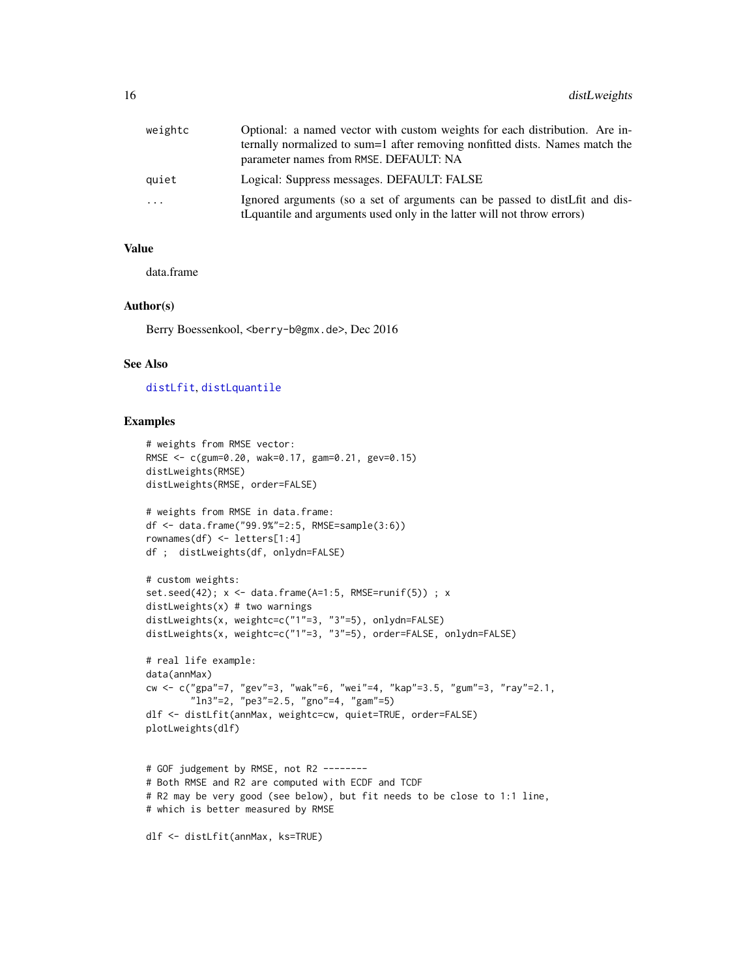<span id="page-15-0"></span>

| weightc | Optional: a named vector with custom weights for each distribution. Are in-<br>ternally normalized to sum=1 after removing nonfitted dists. Names match the<br>parameter names from RMSE. DEFAULT: NA |
|---------|-------------------------------------------------------------------------------------------------------------------------------------------------------------------------------------------------------|
| quiet   | Logical: Suppress messages. DEFAULT: FALSE                                                                                                                                                            |
| .       | Ignored arguments (so a set of arguments can be passed to distLfit and dis-<br>tLquantile and arguments used only in the latter will not throw errors)                                                |

#### Value

data.frame

#### Author(s)

Berry Boessenkool, <berry-b@gmx.de>, Dec 2016

#### See Also

[distLfit](#page-8-1), [distLquantile](#page-10-1)

```
# weights from RMSE vector:
RMSE <- c(gum=0.20, wak=0.17, gam=0.21, gev=0.15)
distLweights(RMSE)
distLweights(RMSE, order=FALSE)
# weights from RMSE in data.frame:
df <- data.frame("99.9%"=2:5, RMSE=sample(3:6))
rownames(df) <- letters[1:4]
df ; distLweights(df, onlydn=FALSE)
# custom weights:
set.seed(42); x \le - data.frame(A=1:5, RMSE=runif(5)) ; xdistLweights(x) # two warnings
distLweights(x, weightc=c("1"=3, "3"=5), onlydn=FALSE)
distLweights(x, weightc=c("1"=3, "3"=5), order=FALSE, onlydn=FALSE)
# real life example:
data(annMax)
cw <- c("gpa"=7, "gev"=3, "wak"=6, "wei"=4, "kap"=3.5, "gum"=3, "ray"=2.1,
        "ln3"=2, "pe3"=2.5, "gno"=4, "gam"=5)
dlf <- distLfit(annMax, weightc=cw, quiet=TRUE, order=FALSE)
plotLweights(dlf)
# GOF judgement by RMSE, not R2 --------
# Both RMSE and R2 are computed with ECDF and TCDF
# R2 may be very good (see below), but fit needs to be close to 1:1 line,
# which is better measured by RMSE
dlf <- distLfit(annMax, ks=TRUE)
```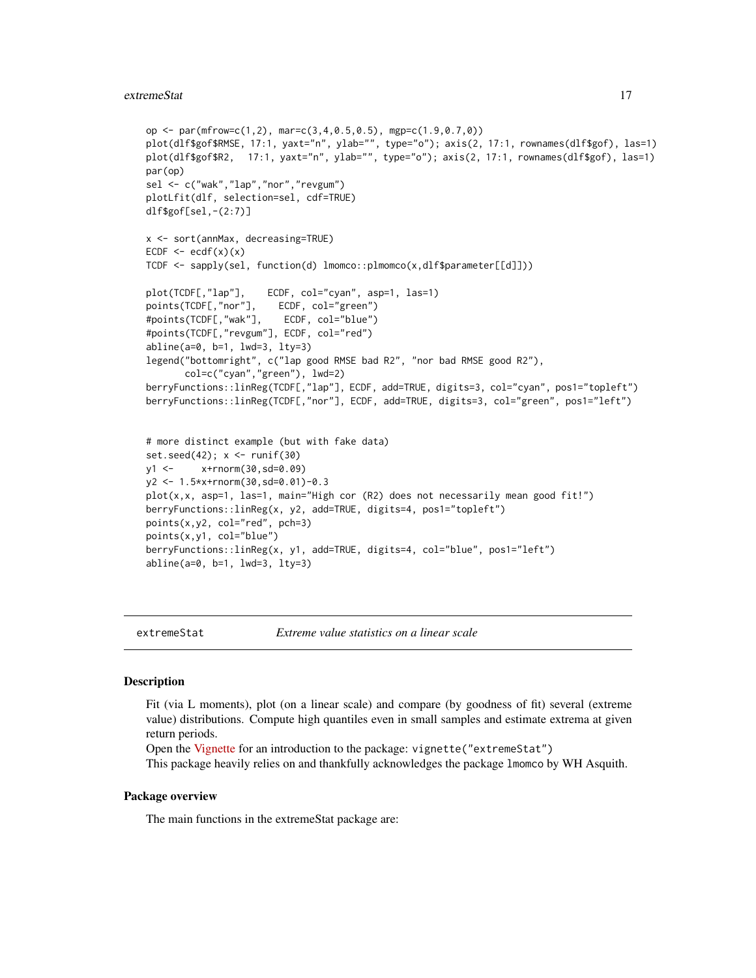#### <span id="page-16-0"></span>extremeStat 17

```
op \leq par(mfrow=c(1,2), mar=c(3,4,0.5,0.5), mgp=c(1.9,0.7,0))
plot(dlf$gof$RMSE, 17:1, yaxt="n", ylab="", type="o"); axis(2, 17:1, rownames(dlf$gof), las=1)
plot(dlf$gof$R2, 17:1, yaxt="n", ylab="", type="o"); axis(2, 17:1, rownames(dlf$gof), las=1)
par(op)
sel <- c("wak","lap","nor","revgum")
plotLfit(dlf, selection=sel, cdf=TRUE)
dlf$gof[sel,-(2:7)]
x <- sort(annMax, decreasing=TRUE)
ECDF \leq ecdf(x)(x)
TCDF <- sapply(sel, function(d) lmomco::plmomco(x,dlf$parameter[[d]]))
plot(TCDF[,"lap"], ECDF, col="cyan", asp=1, las=1)
points(TCDF[,"nor"], ECDF, col="green")
#points(TCDF[,"wak"], ECDF, col="blue")
#points(TCDF[,"revgum"], ECDF, col="red")
abline(a=0, b=1, lwd=3, lty=3)
legend("bottomright", c("lap good RMSE bad R2", "nor bad RMSE good R2"),
      col=c("cyan","green"), lwd=2)
berryFunctions::linReg(TCDF[,"lap"], ECDF, add=TRUE, digits=3, col="cyan", pos1="topleft")
berryFunctions::linReg(TCDF[,"nor"], ECDF, add=TRUE, digits=3, col="green", pos1="left")
# more distinct example (but with fake data)
set.seed(42); x \leftarrow runif(30)y1 <- x+rnorm(30,sd=0.09)
y2 <- 1.5*x+rnorm(30,sd=0.01)-0.3
plot(x,x, asp=1, las=1, main="High cor (R2) does not necessarily mean good fit!")
berryFunctions::linReg(x, y2, add=TRUE, digits=4, pos1="topleft")
points(x,y2, col="red", pch=3)
points(x,y1, col="blue")
berryFunctions::linReg(x, y1, add=TRUE, digits=4, col="blue", pos1="left")
abline(a=0, b=1, lwd=3, lty=3)
```
<span id="page-16-1"></span>

extremeStat *Extreme value statistics on a linear scale*

#### **Description**

Fit (via L moments), plot (on a linear scale) and compare (by goodness of fit) several (extreme value) distributions. Compute high quantiles even in small samples and estimate extrema at given return periods.

Open the [Vignette](https://cran.r-project.org/package=extremeStat/vignettes/extremeStat.html) for an introduction to the package: vignette("extremeStat")

This package heavily relies on and thankfully acknowledges the package lmomco by WH Asquith.

#### Package overview

The main functions in the extremeStat package are: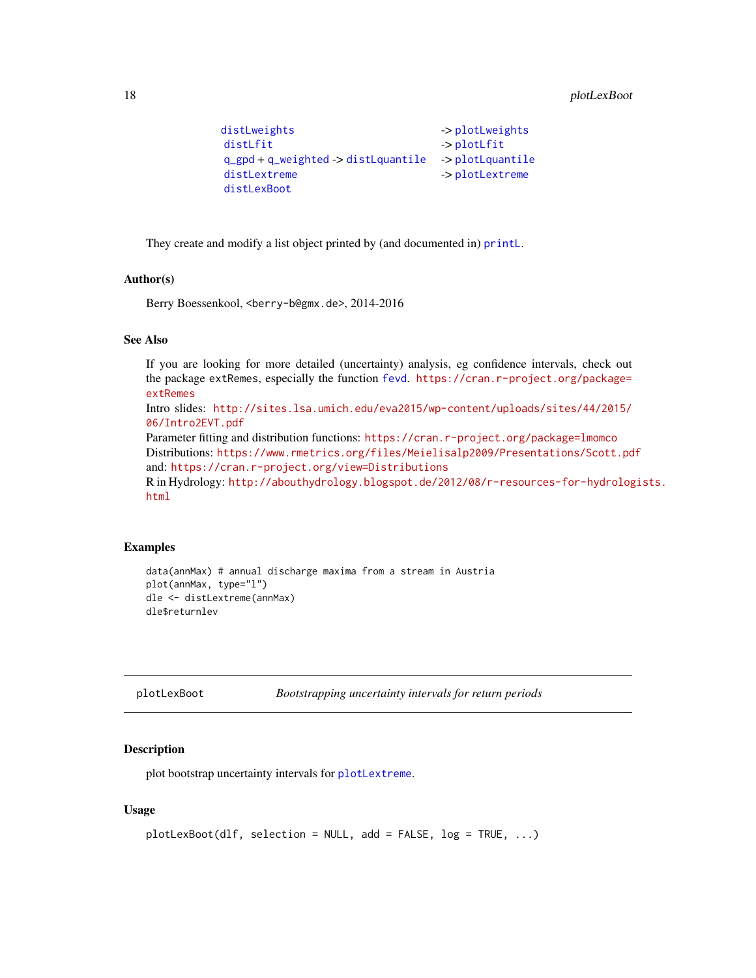```
distLweightsplotLweights
distLfitplotLfit
q_gpd + q_weighted -> distLquantile -> plotLquantile
distLextremeplotLextreme
distLexBoot
```
They create and modify a list object printed by (and documented in) [printL](#page-24-1).

#### Author(s)

Berry Boessenkool, <berry-b@gmx.de>, 2014-2016

#### See Also

If you are looking for more detailed (uncertainty) analysis, eg confidence intervals, check out the package extRemes, especially the function [fevd](#page-0-0). [https://cran.r-project.org/package=](https://cran.r-project.org/package=extRemes) [extRemes](https://cran.r-project.org/package=extRemes)

Intro slides: [http://sites.lsa.umich.edu/eva2015/wp-content/uploads/sites/44/2015/](http://sites.lsa.umich.edu/eva2015/wp-content/uploads/sites/44/2015/06/Intro2EVT.pdf) [06/Intro2EVT.pdf](http://sites.lsa.umich.edu/eva2015/wp-content/uploads/sites/44/2015/06/Intro2EVT.pdf)

Parameter fitting and distribution functions: <https://cran.r-project.org/package=lmomco> Distributions: <https://www.rmetrics.org/files/Meielisalp2009/Presentations/Scott.pdf> and: <https://cran.r-project.org/view=Distributions>

R in Hydrology: [http://abouthydrology.blogspot.de/2012/08/r-resources-for-hydrolog](http://abouthydrology.blogspot.de/2012/08/r-resources-for-hydrologists.html)ists. [html](http://abouthydrology.blogspot.de/2012/08/r-resources-for-hydrologists.html)

#### Examples

```
data(annMax) # annual discharge maxima from a stream in Austria
plot(annMax, type="l")
dle <- distLextreme(annMax)
dle$returnlev
```
<span id="page-17-1"></span>plotLexBoot *Bootstrapping uncertainty intervals for return periods*

#### Description

plot bootstrap uncertainty intervals for [plotLextreme](#page-18-1).

#### Usage

```
plotLexBoot(dlf, selection = NULL, add = FALSE, log = TRUE, ...)
```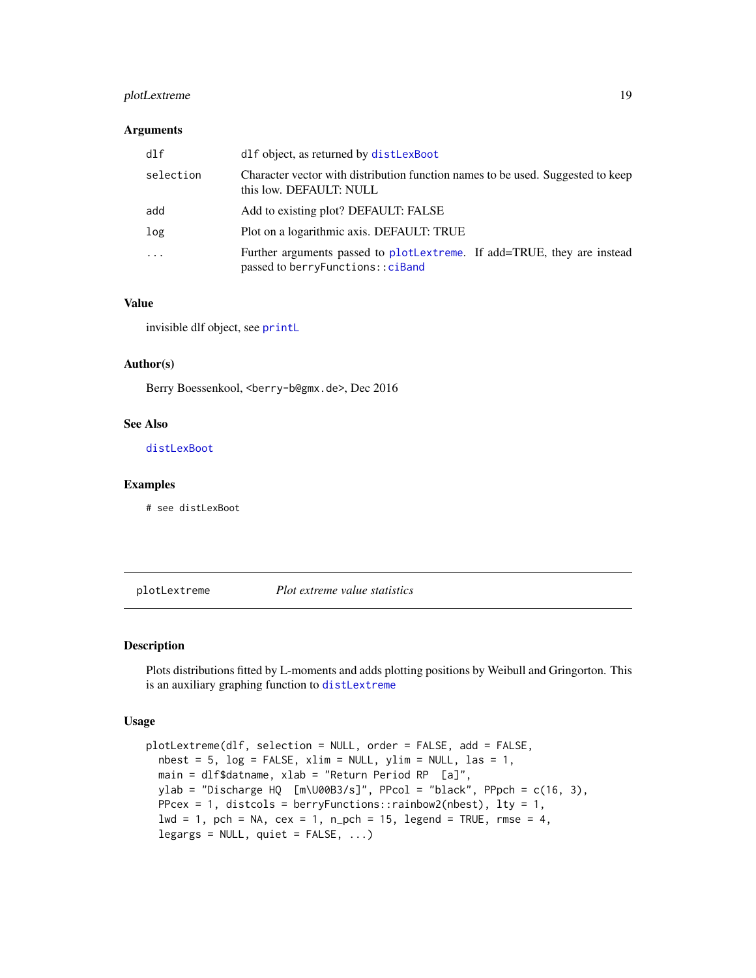#### <span id="page-18-0"></span>plotLextreme 19

#### Arguments

| dlf       | dlf object, as returned by distLexBoot                                                                       |
|-----------|--------------------------------------------------------------------------------------------------------------|
| selection | Character vector with distribution function names to be used. Suggested to keep<br>this low. DEFAULT: NULL   |
| add       | Add to existing plot? DEFAULT: FALSE                                                                         |
| log       | Plot on a logarithmic axis. DEFAULT: TRUE                                                                    |
| $\cdot$   | Further arguments passed to plotLextreme. If add=TRUE, they are instead<br>passed to berryFunctions:: ciBand |

#### Value

invisible dlf object, see [printL](#page-24-1)

#### Author(s)

Berry Boessenkool, <berry-b@gmx.de>, Dec 2016

#### See Also

[distLexBoot](#page-2-1)

#### Examples

# see distLexBoot

<span id="page-18-1"></span>plotLextreme *Plot extreme value statistics*

#### Description

Plots distributions fitted by L-moments and adds plotting positions by Weibull and Gringorton. This is an auxiliary graphing function to [distLextreme](#page-3-1)

#### Usage

```
plotLextreme(dlf, selection = NULL, order = FALSE, add = FALSE,
 nbest = 5, log = FALSE, xlim = NULL, ylim = NULL, las = 1,
 main = dlf$datname, xlab = "Return Period RP [a]",
 ylab = "Discharge HQ [m\U00B3/s]", PPcol = "black", PPpch = c(16, 3),
 PPcex = 1, distcols = berryFunctions::rainbow2(nbest), lty = 1,
 lwd = 1, pch = NA, cex = 1, n_pch = 15, legend = TRUE, rmse = 4,
 legargs = NULL, quite = FALSE, ...)
```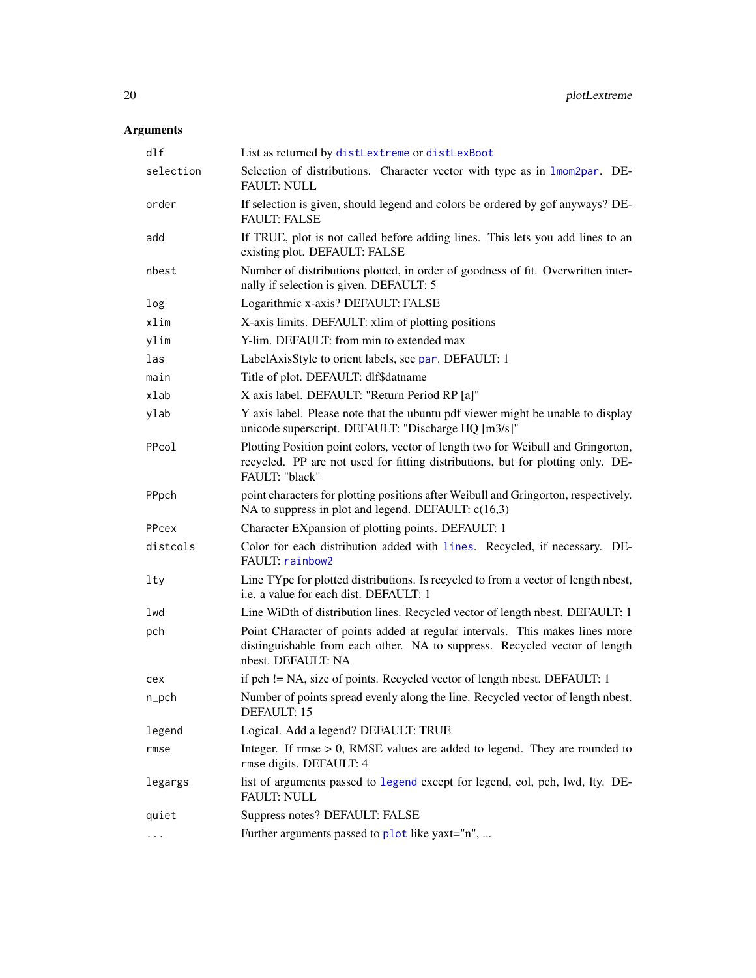#### <span id="page-19-0"></span>Arguments

| dlf       | List as returned by distLextreme or distLexBoot                                                                                                                                       |
|-----------|---------------------------------------------------------------------------------------------------------------------------------------------------------------------------------------|
| selection | Selection of distributions. Character vector with type as in 1mom2par. DE-<br><b>FAULT: NULL</b>                                                                                      |
| order     | If selection is given, should legend and colors be ordered by gof anyways? DE-<br><b>FAULT: FALSE</b>                                                                                 |
| add       | If TRUE, plot is not called before adding lines. This lets you add lines to an<br>existing plot. DEFAULT: FALSE                                                                       |
| nbest     | Number of distributions plotted, in order of goodness of fit. Overwritten inter-<br>nally if selection is given. DEFAULT: 5                                                           |
| log       | Logarithmic x-axis? DEFAULT: FALSE                                                                                                                                                    |
| xlim      | X-axis limits. DEFAULT: xlim of plotting positions                                                                                                                                    |
| ylim      | Y-lim. DEFAULT: from min to extended max                                                                                                                                              |
| las       | LabelAxisStyle to orient labels, see par. DEFAULT: 1                                                                                                                                  |
| main      | Title of plot. DEFAULT: dlf\$datname                                                                                                                                                  |
| xlab      | X axis label. DEFAULT: "Return Period RP [a]"                                                                                                                                         |
| ylab      | Y axis label. Please note that the ubuntu pdf viewer might be unable to display<br>unicode superscript. DEFAULT: "Discharge HQ [m3/s]"                                                |
| PPcol     | Plotting Position point colors, vector of length two for Weibull and Gringorton,<br>recycled. PP are not used for fitting distributions, but for plotting only. DE-<br>FAULT: "black" |
| PPpch     | point characters for plotting positions after Weibull and Gringorton, respectively.<br>NA to suppress in plot and legend. DEFAULT: c(16,3)                                            |
| PPcex     | Character EXpansion of plotting points. DEFAULT: 1                                                                                                                                    |
| distcols  | Color for each distribution added with lines. Recycled, if necessary. DE-<br>FAULT: rainbow2                                                                                          |
| lty       | Line TYpe for plotted distributions. Is recycled to from a vector of length nbest,<br>i.e. a value for each dist. DEFAULT: 1                                                          |
| lwd       | Line WiDth of distribution lines. Recycled vector of length nbest. DEFAULT: 1                                                                                                         |
| pch       | Point CHaracter of points added at regular intervals. This makes lines more<br>distinguishable from each other. NA to suppress. Recycled vector of length<br>nbest. DEFAULT: NA       |
| cex       | if pch != NA, size of points. Recycled vector of length nbest. DEFAULT: 1                                                                                                             |
| $n$ _pch  | Number of points spread evenly along the line. Recycled vector of length nbest.<br>DEFAULT: 15                                                                                        |
| legend    | Logical. Add a legend? DEFAULT: TRUE                                                                                                                                                  |
| rmse      | Integer. If $rmse > 0$ , RMSE values are added to legend. They are rounded to<br>rmse digits. DEFAULT: 4                                                                              |
| legargs   | list of arguments passed to legend except for legend, col, pch, lwd, lty. DE-<br><b>FAULT: NULL</b>                                                                                   |
| quiet     | Suppress notes? DEFAULT: FALSE                                                                                                                                                        |
| $\cdots$  | Further arguments passed to plot like yaxt="n",                                                                                                                                       |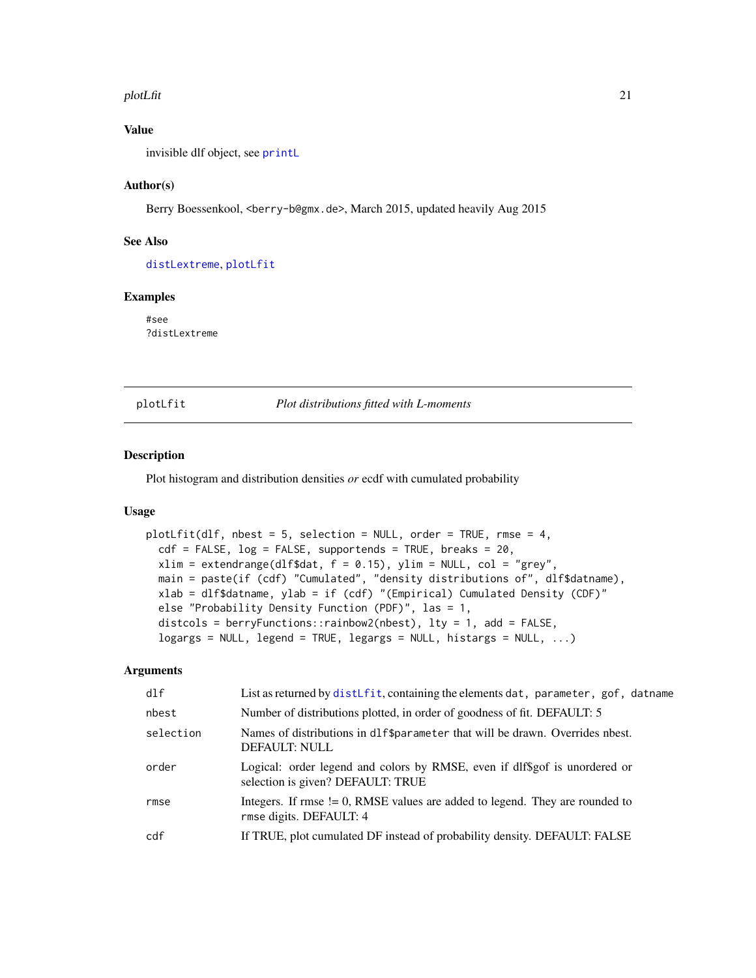#### <span id="page-20-0"></span>plotLfit 21

#### Value

invisible dlf object, see [printL](#page-24-1)

#### Author(s)

Berry Boessenkool, <br/>berry-b@gmx.de>, March 2015, updated heavily Aug 2015

#### See Also

[distLextreme](#page-3-1), [plotLfit](#page-20-1)

#### Examples

#see ?distLextreme

<span id="page-20-1"></span>plotLfit *Plot distributions fitted with L-moments*

#### Description

Plot histogram and distribution densities *or* ecdf with cumulated probability

#### Usage

```
plotLfit(dlf, nbest = 5, selection = NULL, order = TRUE, rmse = 4,
  cdf = FALSE, log = FALSE, supportends = TRUE, breaks = 20,
  xlim = extendrange(dlf4data, f = 0.15), ylim = NULL, col = "grey",main = paste(if (cdf) "Cumulated", "density distributions of", dlf$datname),
  xlab = dlf$datname, ylab = if (cdf) "(Empirical) Cumulated Density (CDF)"
  else "Probability Density Function (PDF)", las = 1,
  distcols = berryFunctions::rainbow2(nbest), lty = 1, add = FALSE,
  logargs = NULL, legend = TRUE, legargs = NULL, histargs = NULL, ...)
```
#### **Arguments**

| dlf       | List as returned by distLfit, containing the elements dat, parameter, gof, datname                              |
|-----------|-----------------------------------------------------------------------------------------------------------------|
| nbest     | Number of distributions plotted, in order of goodness of fit. DEFAULT: 5                                        |
| selection | Names of distributions in d1f\$parameter that will be drawn. Overrides nbest.<br>DEFAULT: NULL                  |
| order     | Logical: order legend and colors by RMSE, even if dlf\$gof is unordered or<br>selection is given? DEFAULT: TRUE |
| rmse      | Integers. If rmse $!= 0$ , RMSE values are added to legend. They are rounded to<br>rmse digits. DEFAULT: 4      |
| cdf       | If TRUE, plot cumulated DF instead of probability density. DEFAULT: FALSE                                       |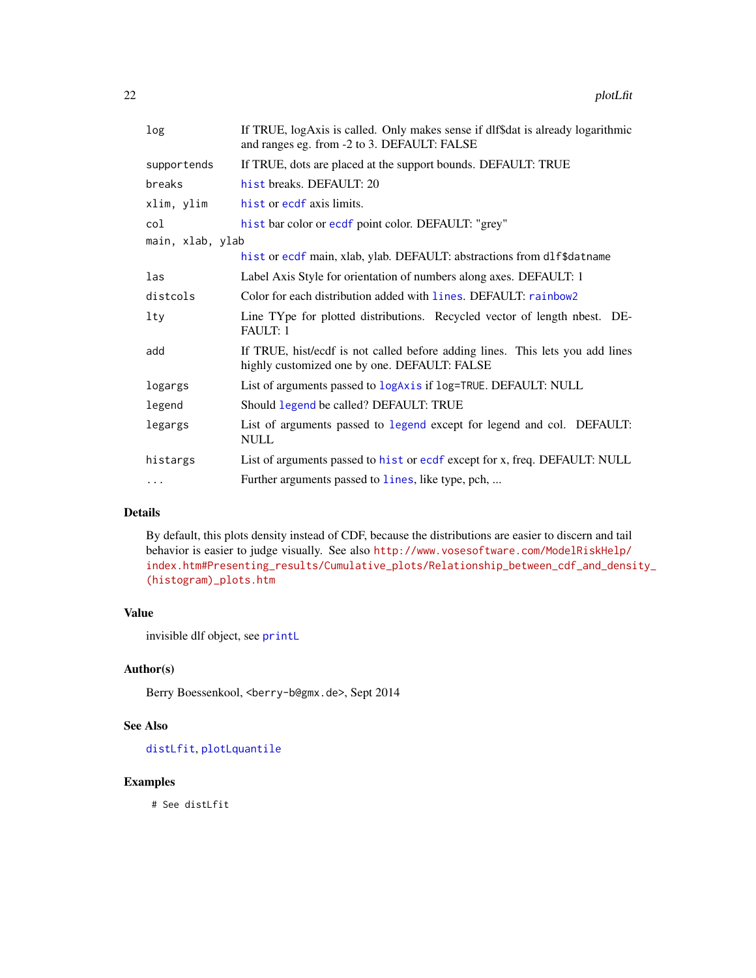<span id="page-21-0"></span>

| log              | If TRUE, logAxis is called. Only makes sense if dlf\$dat is already logarithmic<br>and ranges eg. from -2 to 3. DEFAULT: FALSE |  |
|------------------|--------------------------------------------------------------------------------------------------------------------------------|--|
| supportends      | If TRUE, dots are placed at the support bounds. DEFAULT: TRUE                                                                  |  |
| breaks           | hist breaks. DEFAULT: 20                                                                                                       |  |
| xlim, ylim       | hist or ecdf axis limits.                                                                                                      |  |
| col              | hist bar color or ecdf point color. DEFAULT: "grey"                                                                            |  |
| main, xlab, ylab |                                                                                                                                |  |
|                  | hist or ecdf main, xlab, ylab. DEFAULT: abstractions from d1f\$datname                                                         |  |
| las              | Label Axis Style for orientation of numbers along axes. DEFAULT: 1                                                             |  |
| distcols         | Color for each distribution added with lines. DEFAULT: rainbow2                                                                |  |
| lty              | Line TYpe for plotted distributions. Recycled vector of length nbest. DE-<br><b>FAULT: 1</b>                                   |  |
| add              | If TRUE, hist/ecdf is not called before adding lines. This lets you add lines<br>highly customized one by one. DEFAULT: FALSE  |  |
| logargs          | List of arguments passed to logAxis if log=TRUE. DEFAULT: NULL                                                                 |  |
| legend           | Should legend be called? DEFAULT: TRUE                                                                                         |  |
| legargs          | List of arguments passed to legend except for legend and col. DEFAULT:<br><b>NULL</b>                                          |  |
| histargs         | List of arguments passed to hist or ecdf except for x, freq. DEFAULT: NULL                                                     |  |
| $\cdots$         | Further arguments passed to lines, like type, pch,                                                                             |  |
|                  |                                                                                                                                |  |

#### Details

By default, this plots density instead of CDF, because the distributions are easier to discern and tail behavior is easier to judge visually. See also [http://www.vosesoftware.com/ModelRiskHelp/](http://www.vosesoftware.com/ModelRiskHelp/index.htm#Presenting_results/Cumulative_plots/Relationship_between_cdf_and_density_(histogram)_plots.htm) [index.htm#Presenting\\_results/Cumulative\\_plots/Relationship\\_between\\_cdf\\_and\\_densi](http://www.vosesoftware.com/ModelRiskHelp/index.htm#Presenting_results/Cumulative_plots/Relationship_between_cdf_and_density_(histogram)_plots.htm)ty\_ [\(histogram\)\\_plots.htm](http://www.vosesoftware.com/ModelRiskHelp/index.htm#Presenting_results/Cumulative_plots/Relationship_between_cdf_and_density_(histogram)_plots.htm)

#### Value

invisible dlf object, see [printL](#page-24-1)

#### Author(s)

Berry Boessenkool, <berry-b@gmx.de>, Sept 2014

#### See Also

[distLfit](#page-8-1), [plotLquantile](#page-22-1)

#### Examples

# See distLfit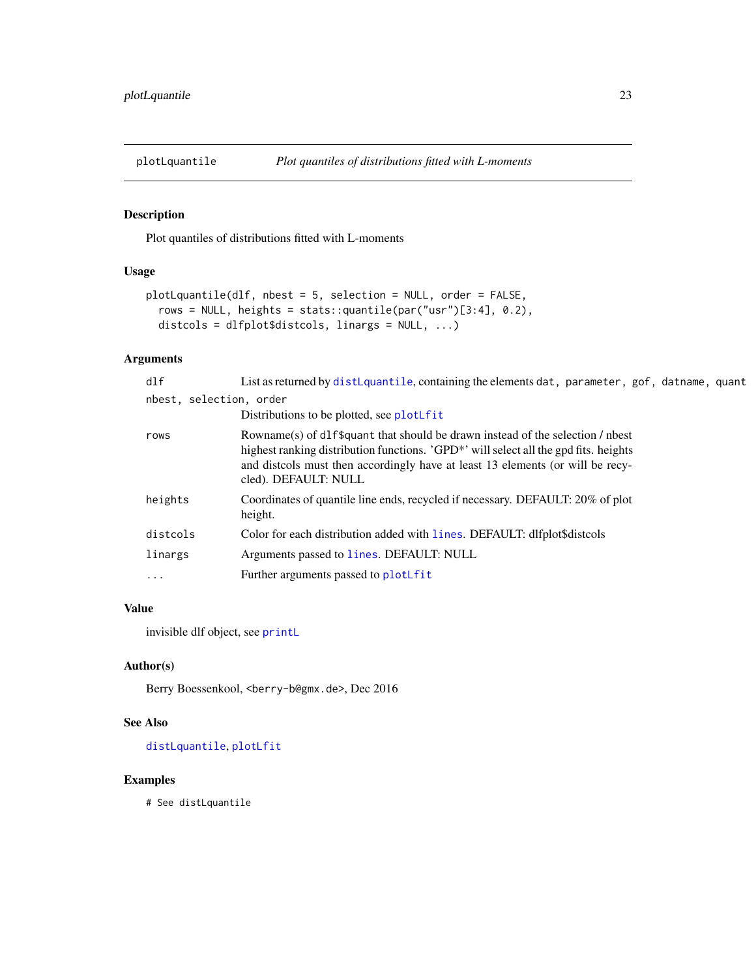<span id="page-22-1"></span><span id="page-22-0"></span>

Plot quantiles of distributions fitted with L-moments

### Usage

```
plotLquantile(dlf, nbest = 5, selection = NULL, order = FALSE,
  rows = NULL, heights = stats::quantile(par("usr")[3:4], 0.2),
 distcols = dlfplot$distcols, linargs = NULL, ...)
```
#### Arguments

| $d$ lf                  | List as returned by distLquantile, containing the elements dat, parameter, gof, datname, quant                                                                                                                                                                                   |
|-------------------------|----------------------------------------------------------------------------------------------------------------------------------------------------------------------------------------------------------------------------------------------------------------------------------|
| nbest, selection, order |                                                                                                                                                                                                                                                                                  |
|                         | Distributions to be plotted, see plotLfit                                                                                                                                                                                                                                        |
| rows                    | Rowname(s) of d1f\$quant that should be drawn instead of the selection / nbest<br>highest ranking distribution functions. 'GPD*' will select all the gpd fits. heights<br>and distions must then accordingly have at least 13 elements (or will be recy-<br>cled). DEFAULT: NULL |
| heights                 | Coordinates of quantile line ends, recycled if necessary. DEFAULT: 20% of plot<br>height.                                                                                                                                                                                        |
| distcols                | Color for each distribution added with lines. DEFAULT: dlfplot Sdistcols                                                                                                                                                                                                         |
| linargs                 | Arguments passed to lines. DEFAULT: NULL                                                                                                                                                                                                                                         |
| .                       | Further arguments passed to plotLfit                                                                                                                                                                                                                                             |

### Value

invisible dlf object, see [printL](#page-24-1)

#### Author(s)

Berry Boessenkool, <berry-b@gmx.de>, Dec 2016

#### See Also

[distLquantile](#page-10-1), [plotLfit](#page-20-1)

#### Examples

# See distLquantile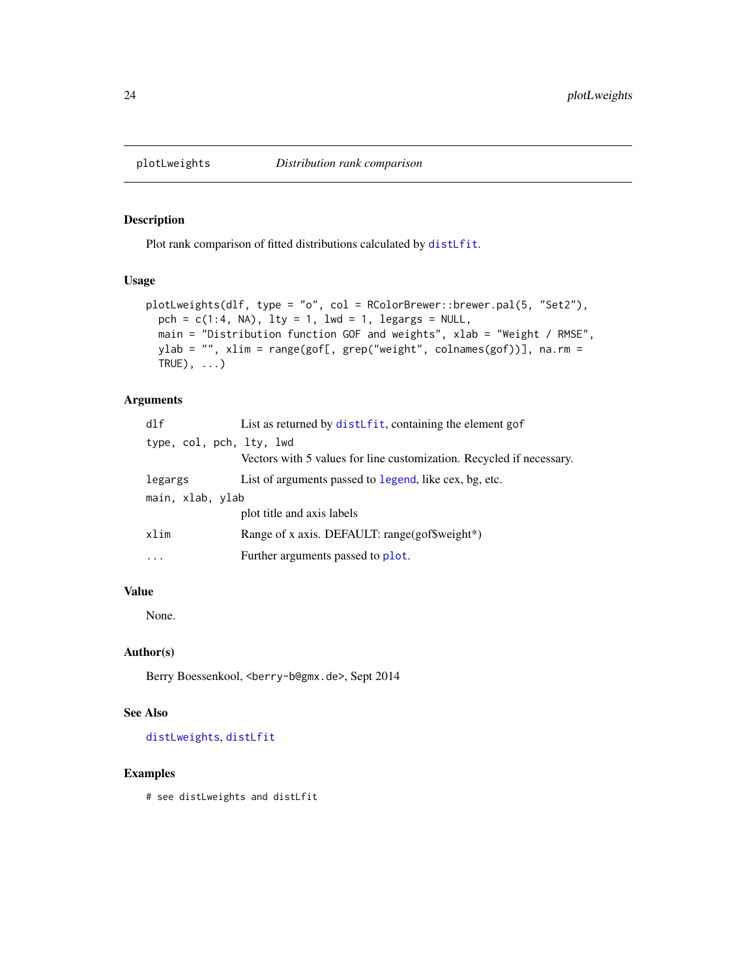<span id="page-23-1"></span><span id="page-23-0"></span>

Plot rank comparison of fitted distributions calculated by [distLfit](#page-8-1).

#### Usage

```
plotLweights(dlf, type = "o", col = RColorBrewer::brewer.pal(5, "Set2"),
 pch = c(1:4, NA), lty = 1, lwd = 1, legargs = NULL,
 main = "Distribution function GOF and weights", xlab = "Weight / RMSE",
 ylab = "", xlim = range(gof[, grep("weight", colnames(gof))], na.rm =
 TRUE), \ldots)
```
#### Arguments

| $d$ lf                   | List as returned by distlast containing the element gof              |
|--------------------------|----------------------------------------------------------------------|
| type, col, pch, lty, lwd |                                                                      |
|                          | Vectors with 5 values for line customization. Recycled if necessary. |
| legargs                  | List of arguments passed to legend, like cex, bg, etc.               |
| main, xlab, ylab         |                                                                      |
|                          | plot title and axis labels                                           |
| xlim                     | Range of x axis. DEFAULT: range(gof\$weight*)                        |
|                          | Further arguments passed to plot.                                    |

#### Value

None.

#### Author(s)

Berry Boessenkool, <berry-b@gmx.de>, Sept 2014

#### See Also

[distLweights](#page-14-1), [distLfit](#page-8-1)

#### Examples

# see distLweights and distLfit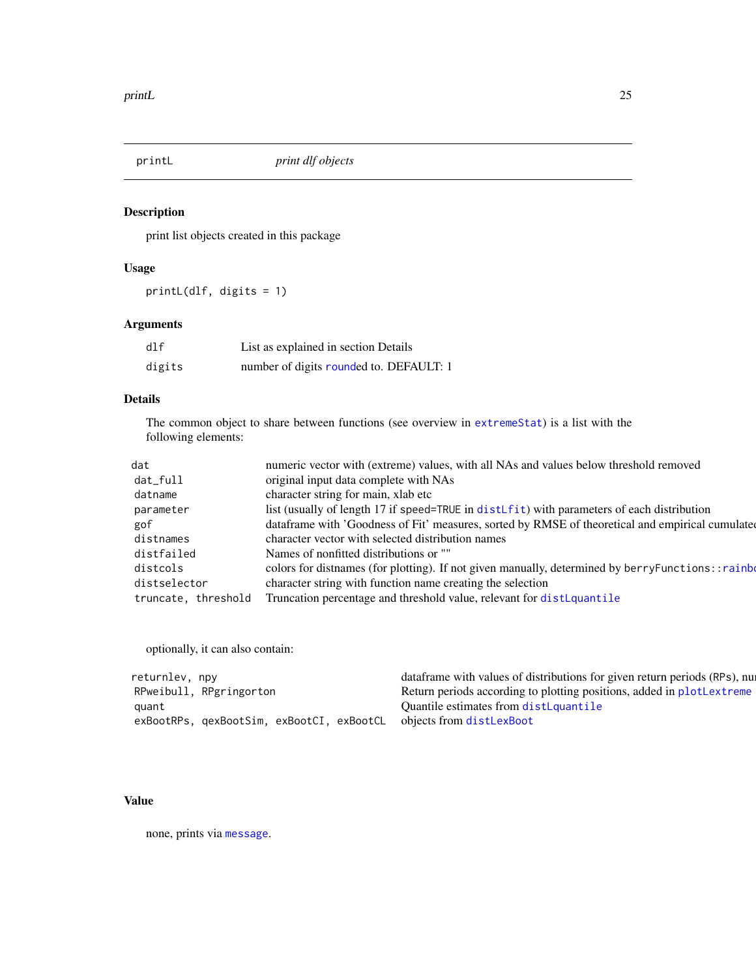<span id="page-24-1"></span><span id="page-24-0"></span>

print list objects created in this package

#### Usage

printL(dlf, digits = 1)

#### Arguments

| dlf    | List as explained in section Details    |
|--------|-----------------------------------------|
| digits | number of digits rounded to. DEFAULT: 1 |

#### Details

The common object to share between functions (see overview in [extremeStat](#page-16-1)) is a list with the following elements:

| dat                 | numeric vector with (extreme) values, with all NAs and values below threshold removed               |
|---------------------|-----------------------------------------------------------------------------------------------------|
| dat_full            | original input data complete with NAs                                                               |
| datname             | character string for main, xlab etc                                                                 |
| parameter           | list (usually of length 17 if speed=TRUE in distLfit) with parameters of each distribution          |
| gof                 | dataframe with 'Goodness of Fit' measures, sorted by RMSE of theoretical and empirical cumulated    |
| distnames           | character vector with selected distribution names                                                   |
| distfailed          | Names of nonfitted distributions or ""                                                              |
| distcols            | colors for distnames (for plotting). If not given manually, determined by berry Functions: : rainbe |
| distselector        | character string with function name creating the selection                                          |
| truncate, threshold | Truncation percentage and threshold value, relevant for distLquantile                               |

optionally, it can also contain:

| returnlev, npv |                                           | data frame with values of distributions for given return periods (RPs), nul- |
|----------------|-------------------------------------------|------------------------------------------------------------------------------|
|                | RPweibull, RPgringorton                   | Return periods according to plotting positions, added in plotLextreme        |
| quant          |                                           | Quantile estimates from distLquantile                                        |
|                | exBootRPs, gexBootSim, exBootCI, exBootCL | objects from distLexBoot                                                     |

#### Value

none, prints via [message](#page-0-0).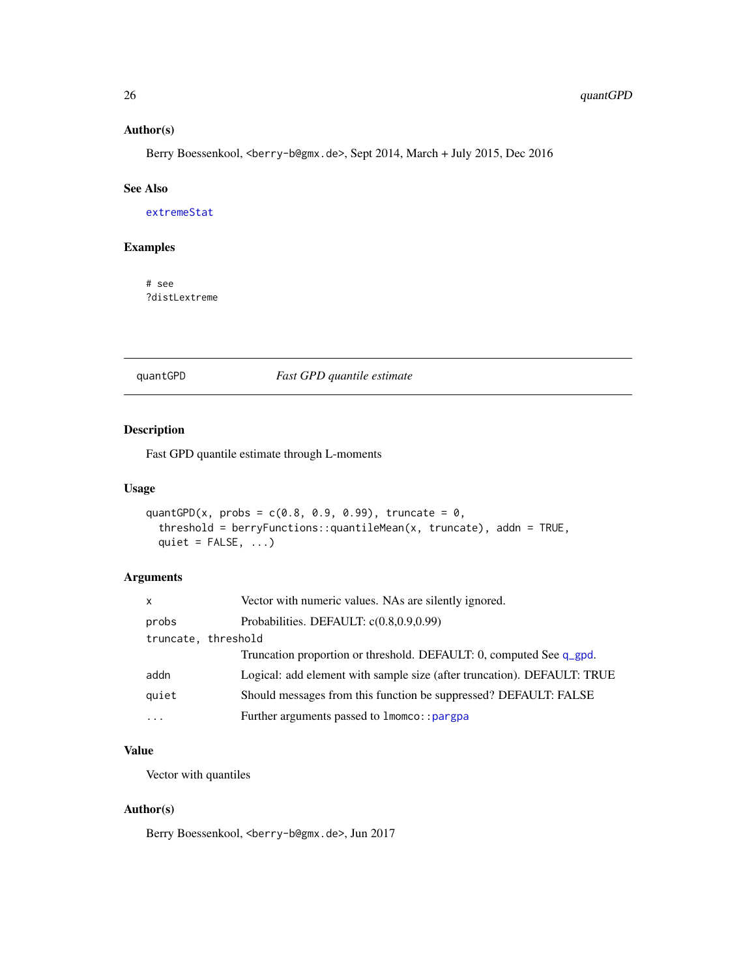#### Author(s)

Berry Boessenkool, <br/>berry-b@gmx.de>, Sept 2014, March + July 2015, Dec 2016

#### See Also

[extremeStat](#page-16-1)

#### Examples

# see ?distLextreme

#### quantGPD *Fast GPD quantile estimate*

#### Description

Fast GPD quantile estimate through L-moments

#### Usage

```
quantGPD(x, probs = c(0.8, 0.9, 0.99), truncate = 0,
 threshold = berryFunctions::quantileMean(x, truncate), addn = TRUE,
 quiet = FALSE, ...)
```
#### Arguments

| $\mathsf{x}$        | Vector with numeric values. NAs are silently ignored.                   |
|---------------------|-------------------------------------------------------------------------|
| probs               | Probabilities. DEFAULT: c(0.8,0.9,0.99)                                 |
| truncate, threshold |                                                                         |
|                     | Truncation proportion or threshold. DEFAULT: 0, computed See q_gpd.     |
| addn                | Logical: add element with sample size (after truncation). DEFAULT: TRUE |
| quiet               | Should messages from this function be suppressed? DEFAULT: FALSE        |
| .                   | Further arguments passed to 1momco:: pargpa                             |

#### Value

Vector with quantiles

#### Author(s)

Berry Boessenkool, <berry-b@gmx.de>, Jun 2017

<span id="page-25-0"></span>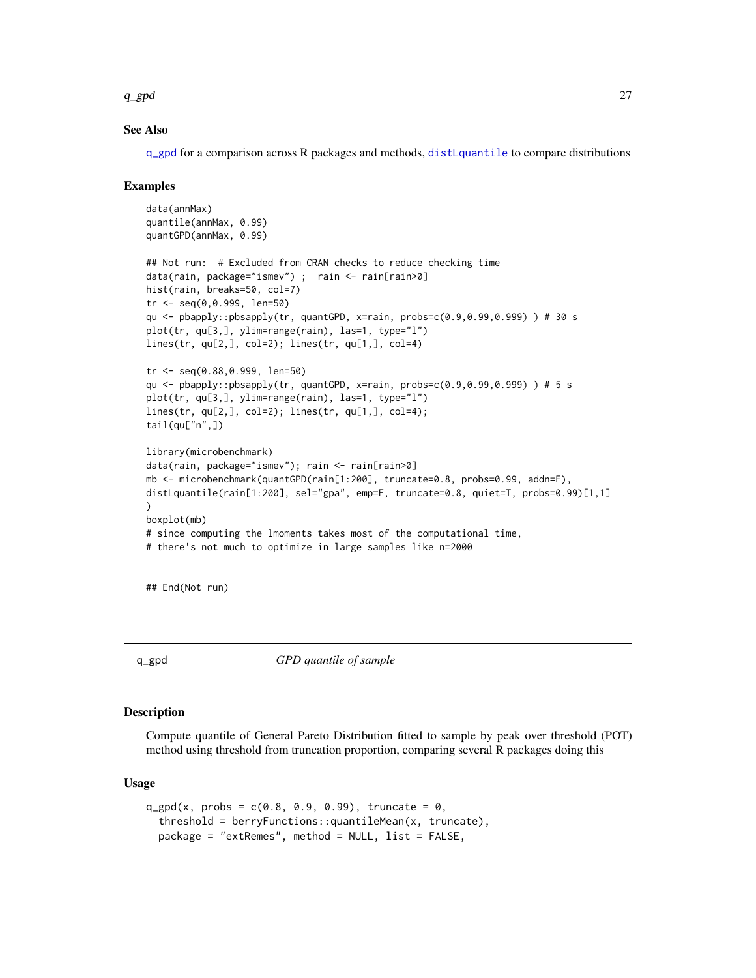#### <span id="page-26-0"></span> $q\_gpd$  . The contract of the contract of the contract of the contract of the contract of the contract of the contract of the contract of the contract of the contract of the contract of the contract of the contract of the

#### See Also

[q\\_gpd](#page-26-1) for a comparison across R packages and methods, [distLquantile](#page-10-1) to compare distributions

#### Examples

```
data(annMax)
quantile(annMax, 0.99)
quantGPD(annMax, 0.99)
## Not run: # Excluded from CRAN checks to reduce checking time
data(rain, package="ismev") ; rain <- rain[rain>0]
hist(rain, breaks=50, col=7)
tr <- seq(0,0.999, len=50)
qu <- pbapply::pbsapply(tr, quantGPD, x=rain, probs=c(0.9,0.99,0.999) ) # 30 s
plot(tr, qu[3,], ylim=range(rain), las=1, type="l")
lines(tr, qu[2,], col=2); lines(tr, qu[1,], col=4)
tr <- seq(0.88,0.999, len=50)
qu <- pbapply::pbsapply(tr, quantGPD, x=rain, probs=c(0.9,0.99,0.999) ) # 5 s
plot(tr, qu[3,], ylim=range(rain), las=1, type="l")
lines(tr, qu[2,], col=2); lines(tr, qu[1,], col=4);
tail(qu['n'',])library(microbenchmark)
data(rain, package="ismev"); rain <- rain[rain>0]
mb <- microbenchmark(quantGPD(rain[1:200], truncate=0.8, probs=0.99, addn=F),
distLquantile(rain[1:200], sel="gpa", emp=F, truncate=0.8, quiet=T, probs=0.99)[1,1]
)
boxplot(mb)
# since computing the lmoments takes most of the computational time,
# there's not much to optimize in large samples like n=2000
```
## End(Not run)

<span id="page-26-1"></span>q\_gpd *GPD quantile of sample*

#### Description

Compute quantile of General Pareto Distribution fitted to sample by peak over threshold (POT) method using threshold from truncation proportion, comparing several R packages doing this

#### Usage

```
q_{ggpd}(x, \text{probs} = c(0.8, 0.9, 0.99), \text{truncated} = 0,threshold = berryFunctions::quantileMean(x, truncate),
  package = "extRemes", method = NULL, list = FALSE,
```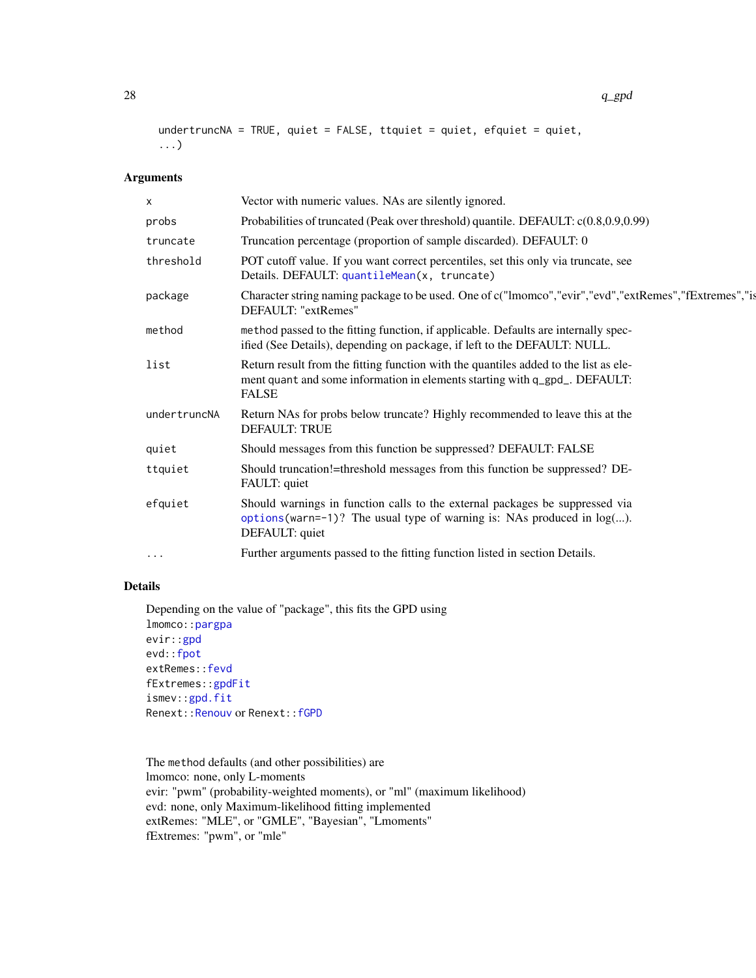```
undertruncNA = TRUE, quiet = FALSE, ttquiet = quiet, efquiet = quiet,
...)
```
#### Arguments

| Vector with numeric values. NAs are silently ignored.                                                                                                                              |
|------------------------------------------------------------------------------------------------------------------------------------------------------------------------------------|
| Probabilities of truncated (Peak over threshold) quantile. DEFAULT: c(0.8,0.9,0.99)                                                                                                |
| Truncation percentage (proportion of sample discarded). DEFAULT: 0                                                                                                                 |
| POT cutoff value. If you want correct percentiles, set this only via truncate, see<br>Details. DEFAULT: quantileMean(x, truncate)                                                  |
| Character string naming package to be used. One of c("Imomco","evir","evd","extRemes","fExtremes","is<br>DEFAULT: "extRemes"                                                       |
| method passed to the fitting function, if applicable. Defaults are internally spec-<br>ified (See Details), depending on package, if left to the DEFAULT: NULL.                    |
| Return result from the fitting function with the quantiles added to the list as ele-<br>ment quant and some information in elements starting with q_gpd_. DEFAULT:<br><b>FALSE</b> |
| Return NAs for probs below truncate? Highly recommended to leave this at the<br><b>DEFAULT: TRUE</b>                                                                               |
| Should messages from this function be suppressed? DEFAULT: FALSE                                                                                                                   |
| Should truncation!=threshold messages from this function be suppressed? DE-<br>FAULT: quiet                                                                                        |
| Should warnings in function calls to the external packages be suppressed via<br>options (warn= $-1$ )? The usual type of warning is: NAs produced in $log()$ .<br>DEFAULT: quiet   |
| Further arguments passed to the fitting function listed in section Details.                                                                                                        |
|                                                                                                                                                                                    |

#### Details

Depending on the value of "package", this fits the GPD using lmomco:[:pargpa](#page-0-0) evir:[:gpd](#page-0-0) evd:[:fpot](#page-0-0) extRemes:[:fevd](#page-0-0) fExtremes:[:gpdFit](#page-0-0) ismev:[:gpd.fit](#page-0-0) Renext:[:Renouv](#page-0-0) or Renext:[:fGPD](#page-0-0)

The method defaults (and other possibilities) are lmomco: none, only L-moments evir: "pwm" (probability-weighted moments), or "ml" (maximum likelihood) evd: none, only Maximum-likelihood fitting implemented extRemes: "MLE", or "GMLE", "Bayesian", "Lmoments" fExtremes: "pwm", or "mle"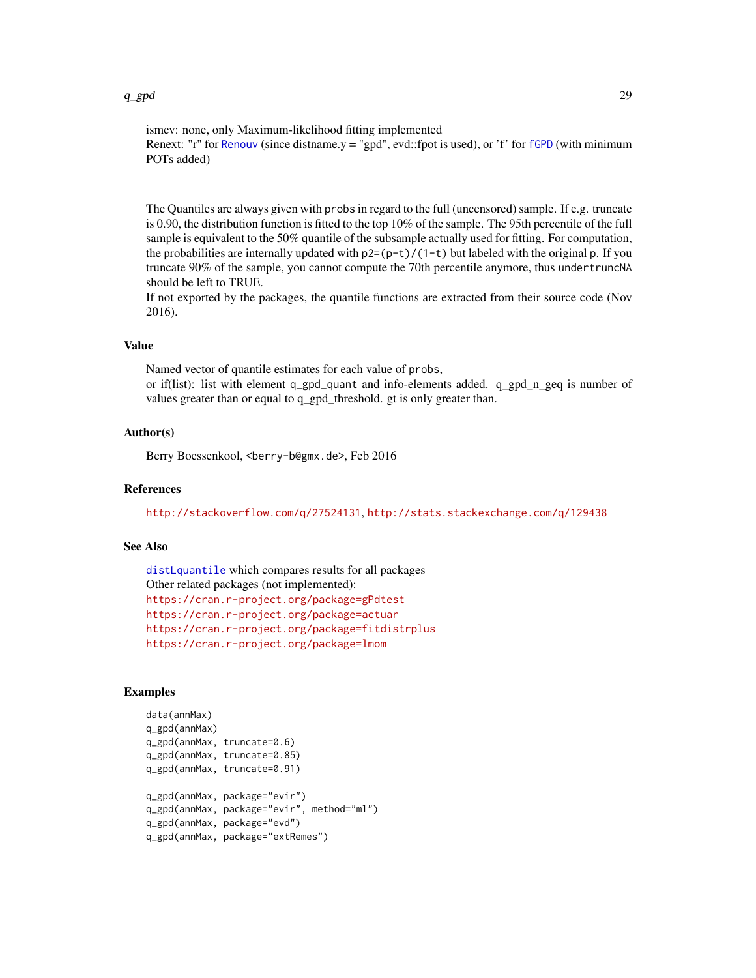#### <span id="page-28-0"></span> $q\_gpd$  and  $29$

ismev: none, only Maximum-likelihood fitting implemented

Renext: "r" for [Renouv](#page-0-0) (since distname.y = "gpd", evd::fpot is used), or 'f' for  $fGPD$  (with minimum POTs added)

The Quantiles are always given with probs in regard to the full (uncensored) sample. If e.g. truncate is 0.90, the distribution function is fitted to the top 10% of the sample. The 95th percentile of the full sample is equivalent to the 50% quantile of the subsample actually used for fitting. For computation, the probabilities are internally updated with  $p2=(p-t)/(1-t)$  but labeled with the original p. If you truncate 90% of the sample, you cannot compute the 70th percentile anymore, thus undertruncNA should be left to TRUE.

If not exported by the packages, the quantile functions are extracted from their source code (Nov 2016).

#### Value

Named vector of quantile estimates for each value of probs,

or if(list): list with element q\_gpd\_quant and info-elements added. q\_gpd\_n\_geq is number of values greater than or equal to q\_gpd\_threshold. gt is only greater than.

#### Author(s)

Berry Boessenkool, <berry-b@gmx.de>, Feb 2016

#### References

<http://stackoverflow.com/q/27524131>, <http://stats.stackexchange.com/q/129438>

#### See Also

```
distLquantile which compares results for all packages
Other related packages (not implemented):
https://cran.r-project.org/package=gPdtest
https://cran.r-project.org/package=actuar
https://cran.r-project.org/package=fitdistrplus
https://cran.r-project.org/package=lmom
```

```
data(annMax)
q_gpd(annMax)
q_gpd(annMax, truncate=0.6)
q_gpd(annMax, truncate=0.85)
q_gpd(annMax, truncate=0.91)
q_gpd(annMax, package="evir")
q_gpd(annMax, package="evir", method="ml")
q_gpd(annMax, package="evd")
q_gpd(annMax, package="extRemes")
```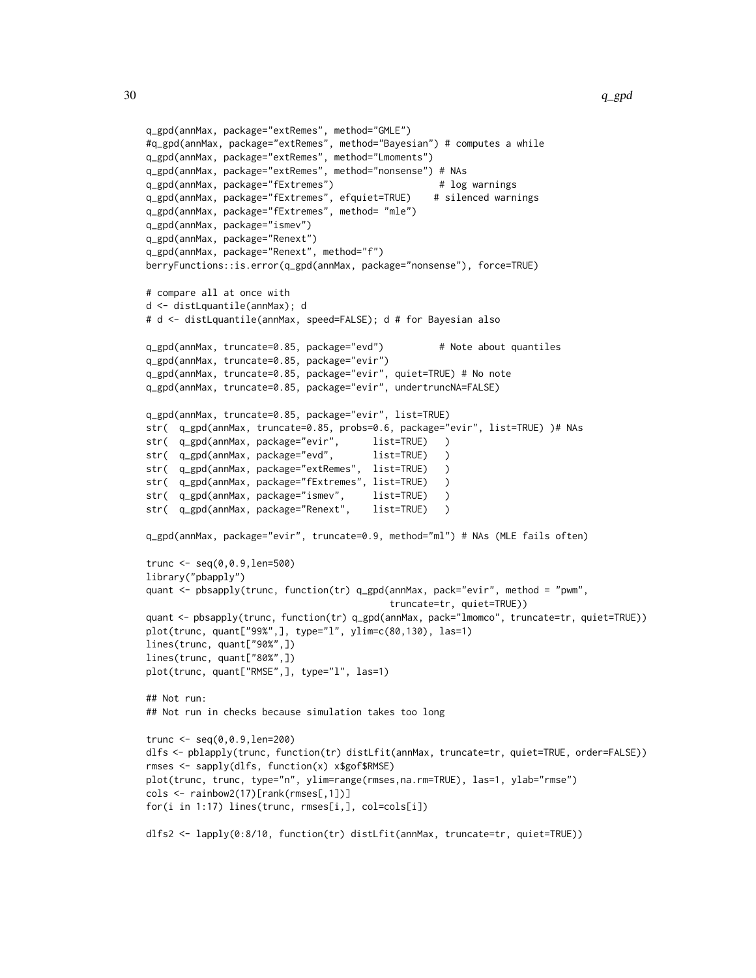```
q_gpd(annMax, package="extRemes", method="GMLE")
#q_gpd(annMax, package="extRemes", method="Bayesian") # computes a while
q_gpd(annMax, package="extRemes", method="Lmoments")
q_gpd(annMax, package="extRemes", method="nonsense") # NAs
q_gpd(annMax, package="fExtremes") # log warnings
q_gpd(annMax, package="fExtremes", efquiet=TRUE) # silenced warnings
q_gpd(annMax, package="fExtremes", method= "mle")
q_gpd(annMax, package="ismev")
q_gpd(annMax, package="Renext")
q_gpd(annMax, package="Renext", method="f")
berryFunctions::is.error(q_gpd(annMax, package="nonsense"), force=TRUE)
# compare all at once with
d <- distLquantile(annMax); d
# d <- distLquantile(annMax, speed=FALSE); d # for Bayesian also
q_gpd(annMax, truncate=0.85, package="evd") # Note about quantiles
q_gpd(annMax, truncate=0.85, package="evir")
q_gpd(annMax, truncate=0.85, package="evir", quiet=TRUE) # No note
q_gpd(annMax, truncate=0.85, package="evir", undertruncNA=FALSE)
q_gpd(annMax, truncate=0.85, package="evir", list=TRUE)
str( q_gpd(annMax, truncate=0.85, probs=0.6, package="evir", list=TRUE) )# NAs
str( q_gpd(annMax, package="evir", list=TRUE) )
str( q_gpd(annMax, package="evd", list=TRUE) )
str( q_gpd(annMax, package="extRemes", list=TRUE) )
str( q_gpd(annMax, package="fExtremes", list=TRUE) )
str( q_gpd(annMax, package="ismev", list=TRUE) )
str( q_gpd(annMax, package="Renext", list=TRUE) )
q_gpd(annMax, package="evir", truncate=0.9, method="ml") # NAs (MLE fails often)
trunc <- seq(0,0.9,len=500)
library("pbapply")
quant <- pbsapply(trunc, function(tr) q_gpd(annMax, pack="evir", method = "pwm",
                                           truncate=tr, quiet=TRUE))
quant <- pbsapply(trunc, function(tr) q_gpd(annMax, pack="lmomco", truncate=tr, quiet=TRUE))
plot(trunc, quant["99%",], type="l", ylim=c(80,130), las=1)
lines(trunc, quant["90%",])
lines(trunc, quant["80%",])
plot(trunc, quant["RMSE",], type="l", las=1)
## Not run:
## Not run in checks because simulation takes too long
trunc <- seq(0,0.9,len=200)
dlfs <- pblapply(trunc, function(tr) distLfit(annMax, truncate=tr, quiet=TRUE, order=FALSE))
rmses <- sapply(dlfs, function(x) x$gof$RMSE)
plot(trunc, trunc, type="n", ylim=range(rmses,na.rm=TRUE), las=1, ylab="rmse")
cols <- rainbow2(17)[rank(rmses[,1])]
for(i in 1:17) lines(trunc, rmses[i,], col=cols[i])
dlfs2 <- lapply(0:8/10, function(tr) distLfit(annMax, truncate=tr, quiet=TRUE))
```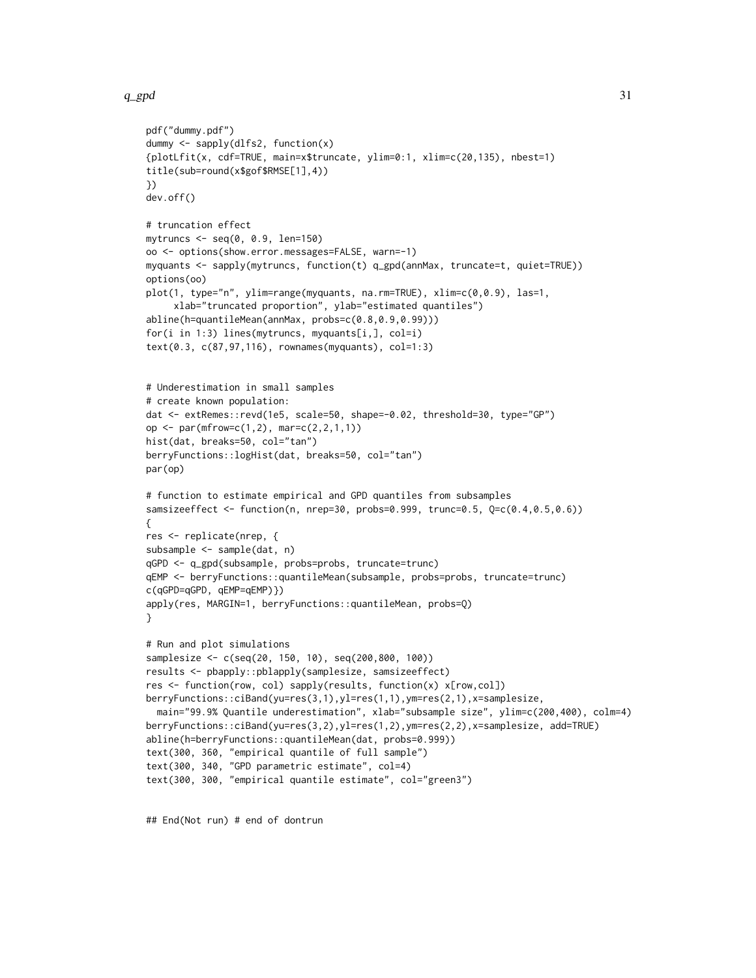#### $q\_gpd$  31

```
pdf("dummy.pdf")
dummy <- sapply(dlfs2, function(x)
{plotLfit(x, cdf=TRUE, main=x$truncate, ylim=0:1, xlim=c(20,135), nbest=1)
title(sub=round(x$gof$RMSE[1],4))
})
dev.off()
# truncation effect
mytruncs <- seq(0, 0.9, len=150)
oo <- options(show.error.messages=FALSE, warn=-1)
myquants <- sapply(mytruncs, function(t) q_gpd(annMax, truncate=t, quiet=TRUE))
options(oo)
plot(1, type="n", ylim=range(myquants, na.rm=TRUE), xlim=c(0,0.9), las=1,
     xlab="truncated proportion", ylab="estimated quantiles")
abline(h=quantileMean(annMax, probs=c(0.8,0.9,0.99)))
for(i in 1:3) lines(mytruncs, myquants[i,], col=i)
text(0.3, c(87,97,116), rownames(myquants), col=1:3)
# Underestimation in small samples
# create known population:
dat <- extRemes::revd(1e5, scale=50, shape=-0.02, threshold=30, type="GP")
op <- par(mfrow=c(1,2), mar=c(2,2,1,1))
hist(dat, breaks=50, col="tan")
berryFunctions::logHist(dat, breaks=50, col="tan")
par(op)
# function to estimate empirical and GPD quantiles from subsamples
samsizeeffect <- function(n, nrep=30, probs=0.999, trunc=0.5, Q=c(0.4,0.5,0.6))
{
res <- replicate(nrep, {
subsample <- sample(dat, n)
qGPD <- q_gpd(subsample, probs=probs, truncate=trunc)
qEMP <- berryFunctions::quantileMean(subsample, probs=probs, truncate=trunc)
c(qGPD=qGPD, qEMP=qEMP)})
apply(res, MARGIN=1, berryFunctions::quantileMean, probs=Q)
}
# Run and plot simulations
samplesize <- c(seq(20, 150, 10), seq(200,800, 100))
results <- pbapply::pblapply(samplesize, samsizeeffect)
res <- function(row, col) sapply(results, function(x) x[row,col])
berryFunctions::ciBand(yu=res(3,1),yl=res(1,1),ym=res(2,1),x=samplesize,
 main="99.9% Quantile underestimation", xlab="subsample size", ylim=c(200,400), colm=4)
berryFunctions::ciBand(yu=res(3,2),yl=res(1,2),ym=res(2,2),x=samplesize, add=TRUE)
abline(h=berryFunctions::quantileMean(dat, probs=0.999))
text(300, 360, "empirical quantile of full sample")
text(300, 340, "GPD parametric estimate", col=4)
text(300, 300, "empirical quantile estimate", col="green3")
```
## End(Not run) # end of dontrun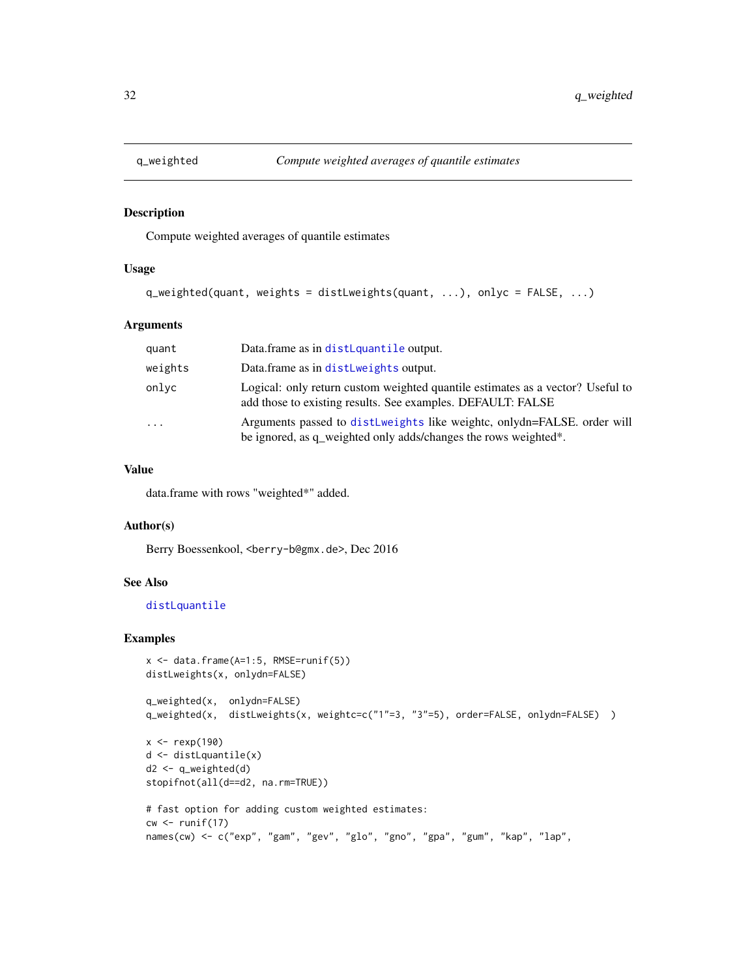<span id="page-31-1"></span><span id="page-31-0"></span>

Compute weighted averages of quantile estimates

#### Usage

```
q_weighted(quant, weights = distLweights(quant, ...), onlyc = FALSE, ...)
```
#### Arguments

| quant   | Data.frame as in distLquantile output.                                                                                                        |
|---------|-----------------------------------------------------------------------------------------------------------------------------------------------|
| weights | Data.frame as in distLweights output.                                                                                                         |
| onlyc   | Logical: only return custom weighted quantile estimates as a vector? Useful to<br>add those to existing results. See examples. DEFAULT: FALSE |
| .       | Arguments passed to distLweights like weightc, onlydn=FALSE. order will<br>be ignored, as q_weighted only adds/changes the rows weighted*.    |

#### Value

data.frame with rows "weighted\*" added.

#### Author(s)

Berry Boessenkool, <berry-b@gmx.de>, Dec 2016

#### See Also

[distLquantile](#page-10-1)

```
x \le - data.frame(A=1:5, RMSE=runif(5))
distLweights(x, onlydn=FALSE)
q_weighted(x, onlydn=FALSE)
q_weighted(x, distLweights(x, weightc=c("1"=3, "3"=5), order=FALSE, onlydn=FALSE) )
x \leftarrow \text{rev}(190)d <- distLquantile(x)
d2 <- q_weighted(d)
stopifnot(all(d==d2, na.rm=TRUE))
# fast option for adding custom weighted estimates:
cw \leftarrow runif(17)names(cw) <- c("exp", "gam", "gev", "glo", "gno", "gpa", "gum", "kap", "lap",
```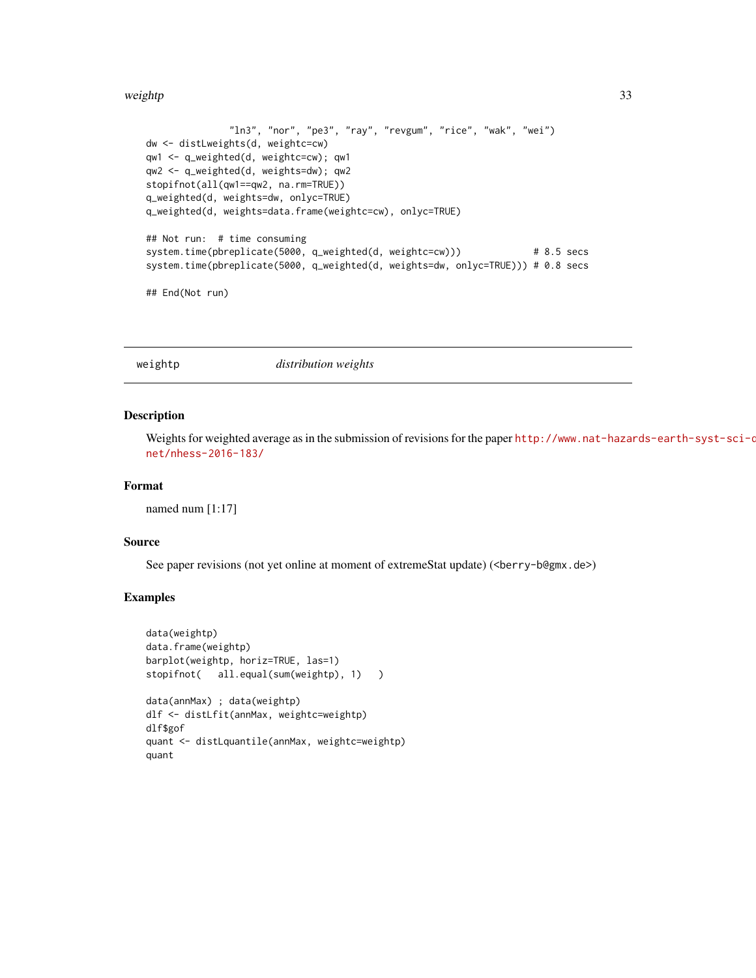<span id="page-32-0"></span>weightp 33

```
"ln3", "nor", "pe3", "ray", "revgum", "rice", "wak", "wei")
dw <- distLweights(d, weightc=cw)
qw1 <- q_weighted(d, weightc=cw); qw1
qw2 <- q_weighted(d, weights=dw); qw2
stopifnot(all(qw1==qw2, na.rm=TRUE))
q_weighted(d, weights=dw, onlyc=TRUE)
q_weighted(d, weights=data.frame(weightc=cw), onlyc=TRUE)
## Not run: # time consuming
system.time(pbreplicate(5000, q_weighted(d, weightc=cw))) # 8.5 secs
system.time(pbreplicate(5000, q_weighted(d, weights=dw, onlyc=TRUE))) # 0.8 secs
```
## End(Not run)

weightp *distribution weights*

#### Description

Weights for weighted average as in the submission of revisions for the paper  $http://www.nat-hazards-earth-systemsci-ci http://www.nat-hazards-earth-systemsci-ci$ [net/nhess-2016-183/](http://www.nat-hazards-earth-syst-sci-discuss.net/nhess-2016-183/)

#### Format

named num [1:17]

#### Source

See paper revisions (not yet online at moment of extremeStat update) (<br/>berry-b@gmx.de>)

```
data(weightp)
data.frame(weightp)
barplot(weightp, horiz=TRUE, las=1)
stopifnot( all.equal(sum(weightp), 1) )
data(annMax) ; data(weightp)
dlf <- distLfit(annMax, weightc=weightp)
dlf$gof
quant <- distLquantile(annMax, weightc=weightp)
quant
```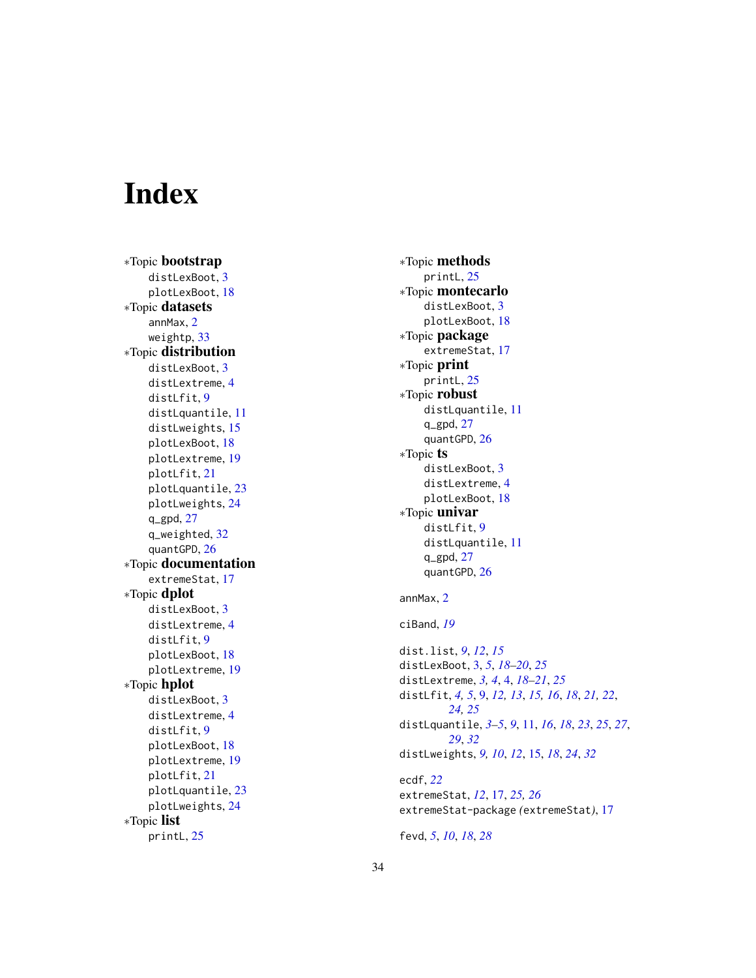# <span id="page-33-0"></span>Index

∗Topic bootstrap distLexBoot , [3](#page-2-0) plotLexBoot , [18](#page-17-0) ∗Topic datasets annMax , [2](#page-1-0) weightp , [33](#page-32-0) ∗Topic distribution distLexBoot, [3](#page-2-0) distLextreme , [4](#page-3-0) distLfit , [9](#page-8-0) distLquantile , [11](#page-10-0) distLweights , [15](#page-14-0) plotLexBoot , [18](#page-17-0) plotLextreme , [19](#page-18-0) plotLfit , [21](#page-20-0) plotLquantile , [23](#page-22-0) plotLweights , [24](#page-23-0) q\_gpd , [27](#page-26-0) q\_weighted , [32](#page-31-0) quantGPD , [26](#page-25-0) ∗Topic documentation extremeStat , [17](#page-16-0) ∗Topic dplot distLexBoot, [3](#page-2-0) distLextreme , [4](#page-3-0) distLfit , [9](#page-8-0) plotLexBoot , [18](#page-17-0) plotLextreme , [19](#page-18-0) ∗Topic hplot distLexBoot, [3](#page-2-0) distLextreme , [4](#page-3-0) distLfit , [9](#page-8-0) plotLexBoot , [18](#page-17-0) plotLextreme , [19](#page-18-0) plotLfit , [21](#page-20-0) plotLquantile , [23](#page-22-0) plotLweights , [24](#page-23-0) ∗Topic list printL , [25](#page-24-0)

∗Topic methods printL , [25](#page-24-0) ∗Topic montecarlo distLexBoot, <mark>[3](#page-2-0)</mark> plotLexBoot , [18](#page-17-0) ∗Topic package extremeStat , [17](#page-16-0) ∗Topic print printL , [25](#page-24-0) ∗Topic robust distLquantile , [11](#page-10-0) q\_gpd , [27](#page-26-0) quantGPD , [26](#page-25-0) ∗Topic ts distLexBoot , [3](#page-2-0) distLextreme , [4](#page-3-0) plotLexBoot , [18](#page-17-0) ∗Topic univar distLfit , [9](#page-8-0) distLquantile , [11](#page-10-0) q\_gpd , [27](#page-26-0) quantGPD , [26](#page-25-0) annMax , [2](#page-1-0) ciBand , *[19](#page-18-0)* dist.list , *[9](#page-8-0)* , *[12](#page-11-0)* , *[15](#page-14-0)* distLexBoot , [3](#page-2-0) , *[5](#page-4-0)* , *[18](#page-17-0) [–20](#page-19-0)* , *[25](#page-24-0)* distLextreme , *[3](#page-2-0) , [4](#page-3-0)* , [4](#page-3-0) , *[18](#page-17-0) [–21](#page-20-0)* , *[25](#page-24-0)* distLfit, [4](#page-3-0), [5](#page-4-0), [9](#page-8-0), [12](#page-11-0), [13](#page-12-0), [15](#page-14-0), [16](#page-15-0), [18](#page-17-0), [21](#page-20-0), [22](#page-21-0), *[24](#page-23-0) , [25](#page-24-0)* distLquantile , *[3](#page-2-0) – [5](#page-4-0)* , *[9](#page-8-0)* , [11](#page-10-0) , *[16](#page-15-0)* , *[18](#page-17-0)* , *[23](#page-22-0)* , *[25](#page-24-0)* , *[27](#page-26-0)* , *[29](#page-28-0)* , *[32](#page-31-0)* distLweights , *[9](#page-8-0) , [10](#page-9-0)* , *[12](#page-11-0)* , [15](#page-14-0) , *[18](#page-17-0)* , *[24](#page-23-0)* , *[32](#page-31-0)* ecdf , *[22](#page-21-0)* extremeStat , *[12](#page-11-0)* , [17](#page-16-0) , *[25](#page-24-0) , [26](#page-25-0)* extremeStat-package *(*extremeStat *)* , [17](#page-16-0) fevd , *[5](#page-4-0)* , *[10](#page-9-0)* , *[18](#page-17-0)* , *[28](#page-27-0)*